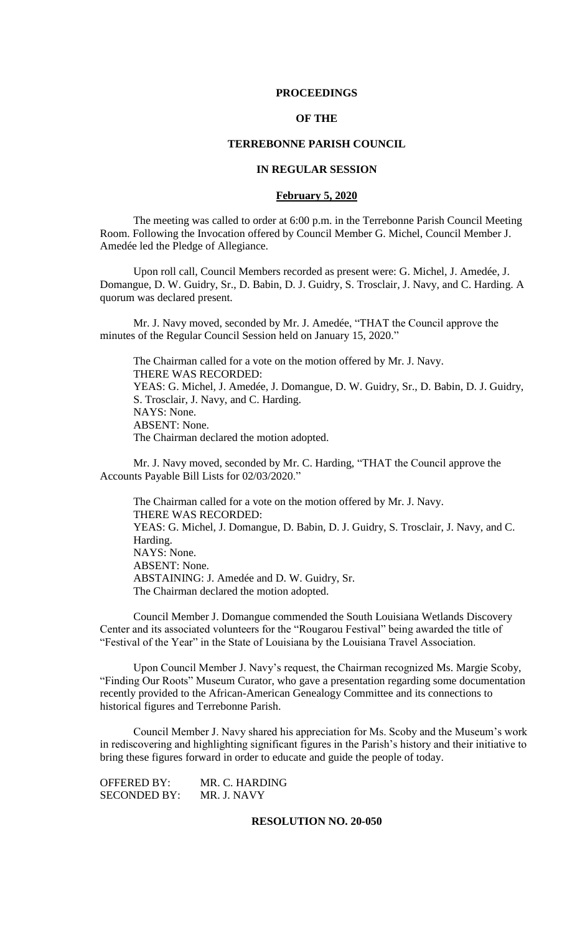### **PROCEEDINGS**

# **OF THE**

# **TERREBONNE PARISH COUNCIL**

## **IN REGULAR SESSION**

### **February 5, 2020**

The meeting was called to order at 6:00 p.m. in the Terrebonne Parish Council Meeting Room. Following the Invocation offered by Council Member G. Michel, Council Member J. Amedée led the Pledge of Allegiance.

Upon roll call, Council Members recorded as present were: G. Michel, J. Amedée, J. Domangue, D. W. Guidry, Sr., D. Babin, D. J. Guidry, S. Trosclair, J. Navy, and C. Harding. A quorum was declared present.

Mr. J. Navy moved, seconded by Mr. J. Amedée, "THAT the Council approve the minutes of the Regular Council Session held on January 15, 2020."

The Chairman called for a vote on the motion offered by Mr. J. Navy. THERE WAS RECORDED: YEAS: G. Michel, J. Amedée, J. Domangue, D. W. Guidry, Sr., D. Babin, D. J. Guidry, S. Trosclair, J. Navy, and C. Harding. NAYS: None. ABSENT: None. The Chairman declared the motion adopted.

Mr. J. Navy moved, seconded by Mr. C. Harding, "THAT the Council approve the Accounts Payable Bill Lists for 02/03/2020."

The Chairman called for a vote on the motion offered by Mr. J. Navy. THERE WAS RECORDED: YEAS: G. Michel, J. Domangue, D. Babin, D. J. Guidry, S. Trosclair, J. Navy, and C. Harding. NAYS: None. ABSENT: None. ABSTAINING: J. Amedée and D. W. Guidry, Sr. The Chairman declared the motion adopted.

Council Member J. Domangue commended the South Louisiana Wetlands Discovery Center and its associated volunteers for the "Rougarou Festival" being awarded the title of "Festival of the Year" in the State of Louisiana by the Louisiana Travel Association.

Upon Council Member J. Navy's request, the Chairman recognized Ms. Margie Scoby, "Finding Our Roots" Museum Curator, who gave a presentation regarding some documentation recently provided to the African-American Genealogy Committee and its connections to historical figures and Terrebonne Parish.

Council Member J. Navy shared his appreciation for Ms. Scoby and the Museum's work in rediscovering and highlighting significant figures in the Parish's history and their initiative to bring these figures forward in order to educate and guide the people of today.

OFFERED BY: MR. C. HARDING SECONDED BY: MR. J. NAVY

### **RESOLUTION NO. 20-050**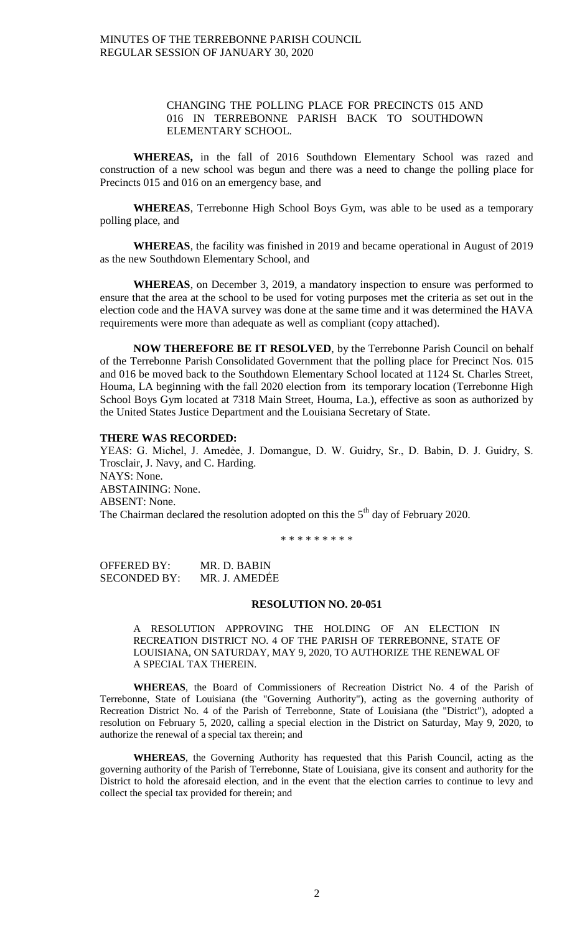## CHANGING THE POLLING PLACE FOR PRECINCTS 015 AND 016 IN TERREBONNE PARISH BACK TO SOUTHDOWN ELEMENTARY SCHOOL.

**WHEREAS,** in the fall of 2016 Southdown Elementary School was razed and construction of a new school was begun and there was a need to change the polling place for Precincts 015 and 016 on an emergency base, and

**WHEREAS**, Terrebonne High School Boys Gym, was able to be used as a temporary polling place, and

**WHEREAS**, the facility was finished in 2019 and became operational in August of 2019 as the new Southdown Elementary School, and

**WHEREAS**, on December 3, 2019, a mandatory inspection to ensure was performed to ensure that the area at the school to be used for voting purposes met the criteria as set out in the election code and the HAVA survey was done at the same time and it was determined the HAVA requirements were more than adequate as well as compliant (copy attached).

**NOW THEREFORE BE IT RESOLVED**, by the Terrebonne Parish Council on behalf of the Terrebonne Parish Consolidated Government that the polling place for Precinct Nos. 015 and 016 be moved back to the Southdown Elementary School located at 1124 St. Charles Street, Houma, LA beginning with the fall 2020 election from its temporary location (Terrebonne High School Boys Gym located at 7318 Main Street, Houma, La.), effective as soon as authorized by the United States Justice Department and the Louisiana Secretary of State.

### **THERE WAS RECORDED:**

YEAS: G. Michel, J. Amedėe, J. Domangue, D. W. Guidry, Sr., D. Babin, D. J. Guidry, S. Trosclair, J. Navy, and C. Harding. NAYS: None. ABSTAINING: None. ABSENT: None. The Chairman declared the resolution adopted on this the  $5<sup>th</sup>$  day of February 2020.

\* \* \* \* \* \* \* \* \*

OFFERED BY: MR. D. BABIN SECONDED BY: MR. J. AMEDẾE

### **RESOLUTION NO. 20-051**

A RESOLUTION APPROVING THE HOLDING OF AN ELECTION IN RECREATION DISTRICT NO. 4 OF THE PARISH OF TERREBONNE, STATE OF LOUISIANA, ON SATURDAY, MAY 9, 2020, TO AUTHORIZE THE RENEWAL OF A SPECIAL TAX THEREIN.

**WHEREAS**, the Board of Commissioners of Recreation District No. 4 of the Parish of Terrebonne, State of Louisiana (the "Governing Authority"), acting as the governing authority of Recreation District No. 4 of the Parish of Terrebonne, State of Louisiana (the "District"), adopted a resolution on February 5, 2020, calling a special election in the District on Saturday, May 9, 2020, to authorize the renewal of a special tax therein; and

**WHEREAS**, the Governing Authority has requested that this Parish Council, acting as the governing authority of the Parish of Terrebonne, State of Louisiana, give its consent and authority for the District to hold the aforesaid election, and in the event that the election carries to continue to levy and collect the special tax provided for therein; and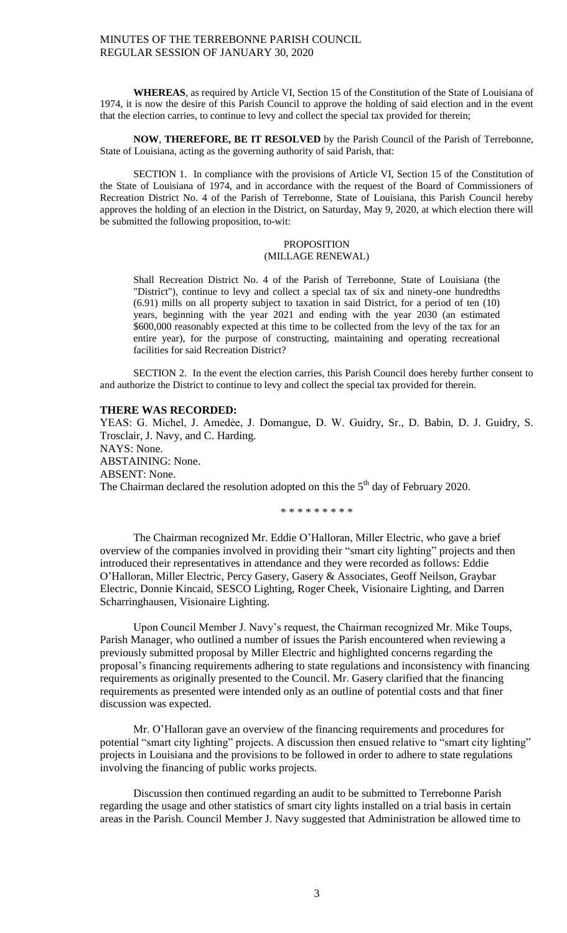**WHEREAS**, as required by Article VI, Section 15 of the Constitution of the State of Louisiana of 1974, it is now the desire of this Parish Council to approve the holding of said election and in the event that the election carries, to continue to levy and collect the special tax provided for therein;

**NOW**, **THEREFORE, BE IT RESOLVED** by the Parish Council of the Parish of Terrebonne, State of Louisiana, acting as the governing authority of said Parish, that:

SECTION 1. In compliance with the provisions of Article VI, Section 15 of the Constitution of the State of Louisiana of 1974, and in accordance with the request of the Board of Commissioners of Recreation District No. 4 of the Parish of Terrebonne, State of Louisiana, this Parish Council hereby approves the holding of an election in the District, on Saturday, May 9, 2020, at which election there will be submitted the following proposition, to-wit:

## PROPOSITION (MILLAGE RENEWAL)

Shall Recreation District No. 4 of the Parish of Terrebonne, State of Louisiana (the "District"), continue to levy and collect a special tax of six and ninety-one hundredths (6.91) mills on all property subject to taxation in said District, for a period of ten (10) years, beginning with the year 2021 and ending with the year 2030 (an estimated \$600,000 reasonably expected at this time to be collected from the levy of the tax for an entire year), for the purpose of constructing, maintaining and operating recreational facilities for said Recreation District?

SECTION 2. In the event the election carries, this Parish Council does hereby further consent to and authorize the District to continue to levy and collect the special tax provided for therein.

## **THERE WAS RECORDED:**

YEAS: G. Michel, J. Amedėe, J. Domangue, D. W. Guidry, Sr., D. Babin, D. J. Guidry, S. Trosclair, J. Navy, and C. Harding. NAYS: None. ABSTAINING: None. ABSENT: None. The Chairman declared the resolution adopted on this the  $5<sup>th</sup>$  day of February 2020.

\* \* \* \* \* \* \* \* \*

The Chairman recognized Mr. Eddie O'Halloran, Miller Electric, who gave a brief overview of the companies involved in providing their "smart city lighting" projects and then introduced their representatives in attendance and they were recorded as follows: Eddie O'Halloran, Miller Electric, Percy Gasery, Gasery & Associates, Geoff Neilson, Graybar Electric, Donnie Kincaid, SESCO Lighting, Roger Cheek, Visionaire Lighting, and Darren Scharringhausen, Visionaire Lighting.

Upon Council Member J. Navy's request, the Chairman recognized Mr. Mike Toups, Parish Manager, who outlined a number of issues the Parish encountered when reviewing a previously submitted proposal by Miller Electric and highlighted concerns regarding the proposal's financing requirements adhering to state regulations and inconsistency with financing requirements as originally presented to the Council. Mr. Gasery clarified that the financing requirements as presented were intended only as an outline of potential costs and that finer discussion was expected.

Mr. O'Halloran gave an overview of the financing requirements and procedures for potential "smart city lighting" projects. A discussion then ensued relative to "smart city lighting" projects in Louisiana and the provisions to be followed in order to adhere to state regulations involving the financing of public works projects.

Discussion then continued regarding an audit to be submitted to Terrebonne Parish regarding the usage and other statistics of smart city lights installed on a trial basis in certain areas in the Parish. Council Member J. Navy suggested that Administration be allowed time to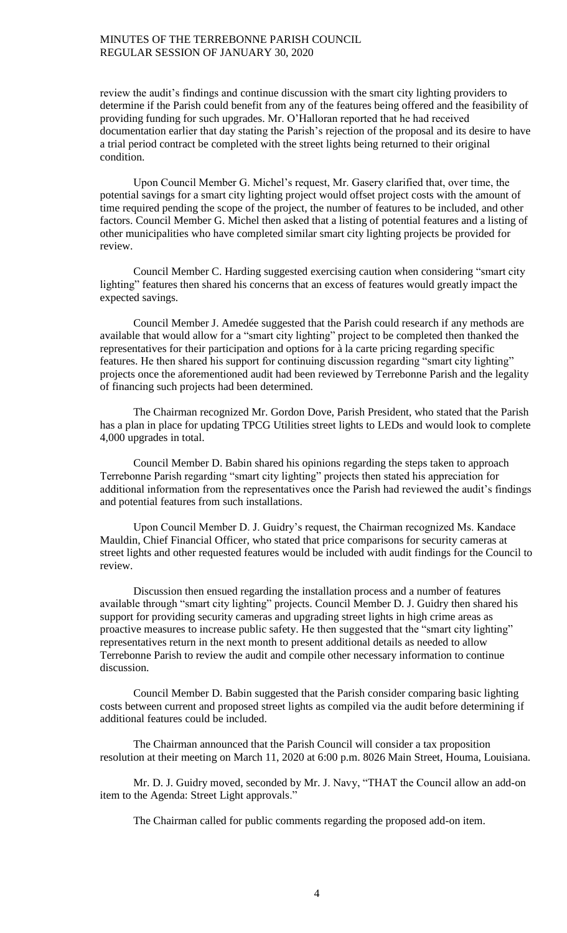review the audit's findings and continue discussion with the smart city lighting providers to determine if the Parish could benefit from any of the features being offered and the feasibility of providing funding for such upgrades. Mr. O'Halloran reported that he had received documentation earlier that day stating the Parish's rejection of the proposal and its desire to have a trial period contract be completed with the street lights being returned to their original condition.

Upon Council Member G. Michel's request, Mr. Gasery clarified that, over time, the potential savings for a smart city lighting project would offset project costs with the amount of time required pending the scope of the project, the number of features to be included, and other factors. Council Member G. Michel then asked that a listing of potential features and a listing of other municipalities who have completed similar smart city lighting projects be provided for review.

Council Member C. Harding suggested exercising caution when considering "smart city lighting" features then shared his concerns that an excess of features would greatly impact the expected savings.

Council Member J. Amedée suggested that the Parish could research if any methods are available that would allow for a "smart city lighting" project to be completed then thanked the representatives for their participation and options for à la carte pricing regarding specific features. He then shared his support for continuing discussion regarding "smart city lighting" projects once the aforementioned audit had been reviewed by Terrebonne Parish and the legality of financing such projects had been determined.

The Chairman recognized Mr. Gordon Dove, Parish President, who stated that the Parish has a plan in place for updating TPCG Utilities street lights to LEDs and would look to complete 4,000 upgrades in total.

Council Member D. Babin shared his opinions regarding the steps taken to approach Terrebonne Parish regarding "smart city lighting" projects then stated his appreciation for additional information from the representatives once the Parish had reviewed the audit's findings and potential features from such installations.

Upon Council Member D. J. Guidry's request, the Chairman recognized Ms. Kandace Mauldin, Chief Financial Officer, who stated that price comparisons for security cameras at street lights and other requested features would be included with audit findings for the Council to review.

Discussion then ensued regarding the installation process and a number of features available through "smart city lighting" projects. Council Member D. J. Guidry then shared his support for providing security cameras and upgrading street lights in high crime areas as proactive measures to increase public safety. He then suggested that the "smart city lighting" representatives return in the next month to present additional details as needed to allow Terrebonne Parish to review the audit and compile other necessary information to continue discussion.

Council Member D. Babin suggested that the Parish consider comparing basic lighting costs between current and proposed street lights as compiled via the audit before determining if additional features could be included.

The Chairman announced that the Parish Council will consider a tax proposition resolution at their meeting on March 11, 2020 at 6:00 p.m. 8026 Main Street, Houma, Louisiana.

Mr. D. J. Guidry moved, seconded by Mr. J. Navy, "THAT the Council allow an add-on item to the Agenda: Street Light approvals."

The Chairman called for public comments regarding the proposed add-on item.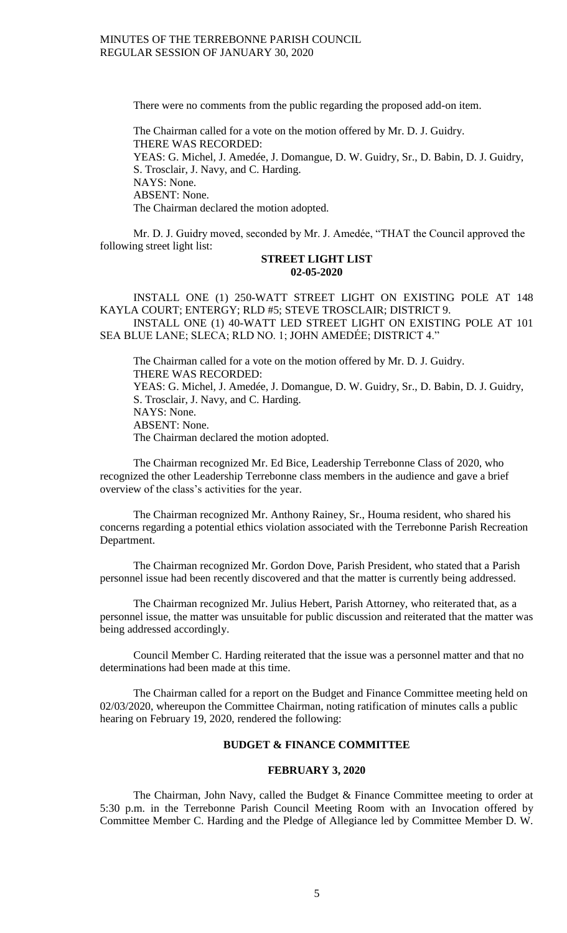There were no comments from the public regarding the proposed add-on item.

The Chairman called for a vote on the motion offered by Mr. D. J. Guidry. THERE WAS RECORDED: YEAS: G. Michel, J. Amedée, J. Domangue, D. W. Guidry, Sr., D. Babin, D. J. Guidry, S. Trosclair, J. Navy, and C. Harding. NAYS: None. ABSENT: None. The Chairman declared the motion adopted.

Mr. D. J. Guidry moved, seconded by Mr. J. Amedée, "THAT the Council approved the following street light list:

### **STREET LIGHT LIST 02-05-2020**

INSTALL ONE (1) 250-WATT STREET LIGHT ON EXISTING POLE AT 148 KAYLA COURT; ENTERGY; RLD #5; STEVE TROSCLAIR; DISTRICT 9. INSTALL ONE (1) 40-WATT LED STREET LIGHT ON EXISTING POLE AT 101

SEA BLUE LANE; SLECA; RLD NO. 1; JOHN AMEDÉE; DISTRICT 4."

The Chairman called for a vote on the motion offered by Mr. D. J. Guidry. THERE WAS RECORDED: YEAS: G. Michel, J. Amedée, J. Domangue, D. W. Guidry, Sr., D. Babin, D. J. Guidry, S. Trosclair, J. Navy, and C. Harding. NAYS: None. ABSENT: None. The Chairman declared the motion adopted.

The Chairman recognized Mr. Ed Bice, Leadership Terrebonne Class of 2020, who recognized the other Leadership Terrebonne class members in the audience and gave a brief overview of the class's activities for the year.

The Chairman recognized Mr. Anthony Rainey, Sr., Houma resident, who shared his concerns regarding a potential ethics violation associated with the Terrebonne Parish Recreation Department.

The Chairman recognized Mr. Gordon Dove, Parish President, who stated that a Parish personnel issue had been recently discovered and that the matter is currently being addressed.

The Chairman recognized Mr. Julius Hebert, Parish Attorney, who reiterated that, as a personnel issue, the matter was unsuitable for public discussion and reiterated that the matter was being addressed accordingly.

Council Member C. Harding reiterated that the issue was a personnel matter and that no determinations had been made at this time.

The Chairman called for a report on the Budget and Finance Committee meeting held on 02/03/2020, whereupon the Committee Chairman, noting ratification of minutes calls a public hearing on February 19, 2020, rendered the following:

## **BUDGET & FINANCE COMMITTEE**

#### **FEBRUARY 3, 2020**

The Chairman, John Navy, called the Budget & Finance Committee meeting to order at 5:30 p.m. in the Terrebonne Parish Council Meeting Room with an Invocation offered by Committee Member C. Harding and the Pledge of Allegiance led by Committee Member D. W.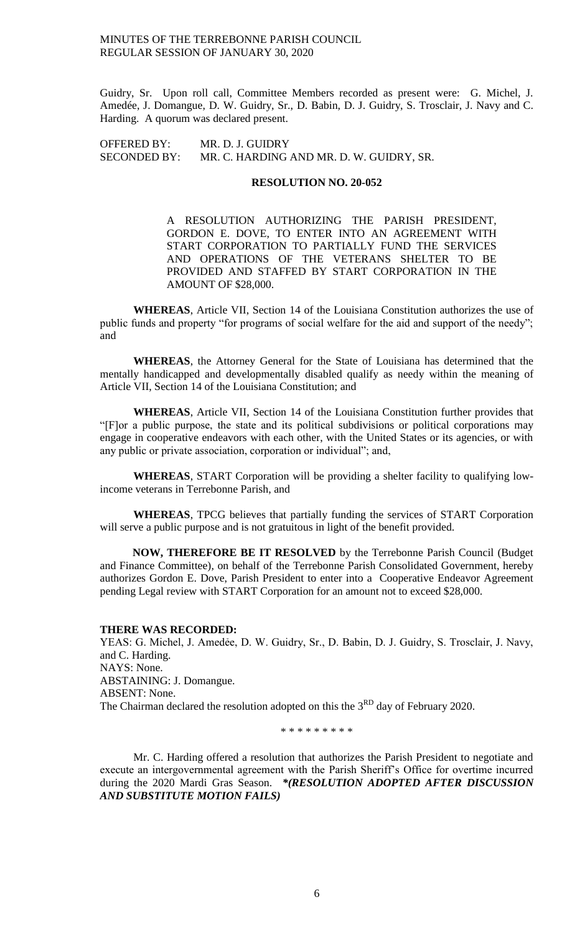Guidry, Sr. Upon roll call, Committee Members recorded as present were: G. Michel, J. Amedée, J. Domangue, D. W. Guidry, Sr., D. Babin, D. J. Guidry, S. Trosclair, J. Navy and C. Harding. A quorum was declared present.

OFFERED BY: MR. D. J. GUIDRY SECONDED BY: MR. C. HARDING AND MR. D. W. GUIDRY, SR.

## **RESOLUTION NO. 20-052**

A RESOLUTION AUTHORIZING THE PARISH PRESIDENT, GORDON E. DOVE, TO ENTER INTO AN AGREEMENT WITH START CORPORATION TO PARTIALLY FUND THE SERVICES AND OPERATIONS OF THE VETERANS SHELTER TO BE PROVIDED AND STAFFED BY START CORPORATION IN THE AMOUNT OF \$28,000.

**WHEREAS**, Article VII, Section 14 of the Louisiana Constitution authorizes the use of public funds and property "for programs of social welfare for the aid and support of the needy"; and

**WHEREAS**, the Attorney General for the State of Louisiana has determined that the mentally handicapped and developmentally disabled qualify as needy within the meaning of Article VII, Section 14 of the Louisiana Constitution; and

**WHEREAS**, Article VII, Section 14 of the Louisiana Constitution further provides that "[F]or a public purpose, the state and its political subdivisions or political corporations may engage in cooperative endeavors with each other, with the United States or its agencies, or with any public or private association, corporation or individual"; and,

**WHEREAS**, START Corporation will be providing a shelter facility to qualifying lowincome veterans in Terrebonne Parish, and

**WHEREAS**, TPCG believes that partially funding the services of START Corporation will serve a public purpose and is not gratuitous in light of the benefit provided.

**NOW, THEREFORE BE IT RESOLVED** by the Terrebonne Parish Council (Budget and Finance Committee), on behalf of the Terrebonne Parish Consolidated Government, hereby authorizes Gordon E. Dove, Parish President to enter into a Cooperative Endeavor Agreement pending Legal review with START Corporation for an amount not to exceed \$28,000.

#### **THERE WAS RECORDED:**

YEAS: G. Michel, J. Amedėe, D. W. Guidry, Sr., D. Babin, D. J. Guidry, S. Trosclair, J. Navy, and C. Harding. NAYS: None. ABSTAINING: J. Domangue. ABSENT: None. The Chairman declared the resolution adopted on this the 3<sup>RD</sup> day of February 2020.

\* \* \* \* \* \* \* \* \*

Mr. C. Harding offered a resolution that authorizes the Parish President to negotiate and execute an intergovernmental agreement with the Parish Sheriff's Office for overtime incurred during the 2020 Mardi Gras Season. *\*(RESOLUTION ADOPTED AFTER DISCUSSION AND SUBSTITUTE MOTION FAILS)*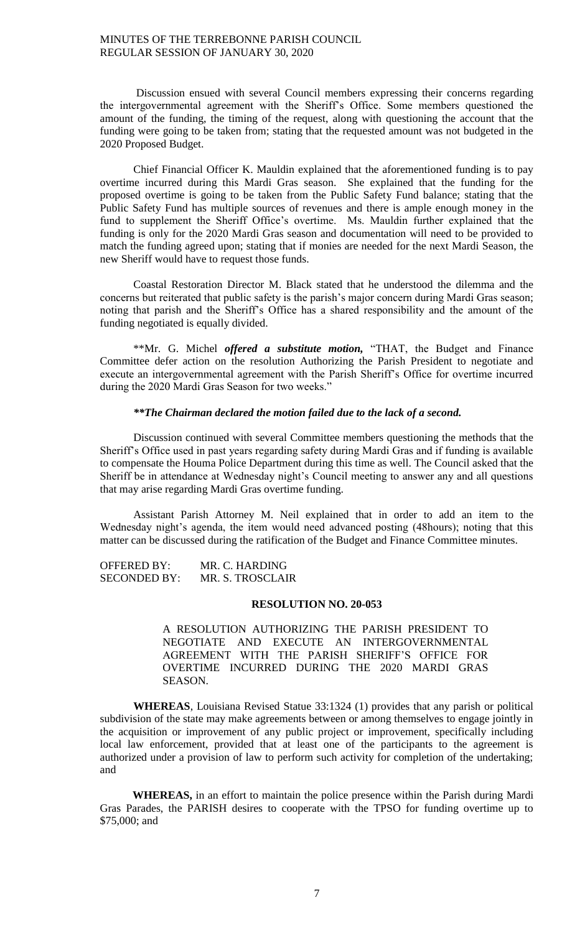Discussion ensued with several Council members expressing their concerns regarding the intergovernmental agreement with the Sheriff's Office. Some members questioned the amount of the funding, the timing of the request, along with questioning the account that the funding were going to be taken from; stating that the requested amount was not budgeted in the 2020 Proposed Budget.

Chief Financial Officer K. Mauldin explained that the aforementioned funding is to pay overtime incurred during this Mardi Gras season. She explained that the funding for the proposed overtime is going to be taken from the Public Safety Fund balance; stating that the Public Safety Fund has multiple sources of revenues and there is ample enough money in the fund to supplement the Sheriff Office's overtime. Ms. Mauldin further explained that the funding is only for the 2020 Mardi Gras season and documentation will need to be provided to match the funding agreed upon; stating that if monies are needed for the next Mardi Season, the new Sheriff would have to request those funds.

Coastal Restoration Director M. Black stated that he understood the dilemma and the concerns but reiterated that public safety is the parish's major concern during Mardi Gras season; noting that parish and the Sheriff's Office has a shared responsibility and the amount of the funding negotiated is equally divided.

\*\*Mr. G. Michel *offered a substitute motion,* "THAT, the Budget and Finance Committee defer action on the resolution Authorizing the Parish President to negotiate and execute an intergovernmental agreement with the Parish Sheriff's Office for overtime incurred during the 2020 Mardi Gras Season for two weeks."

## *\*\*The Chairman declared the motion failed due to the lack of a second.*

Discussion continued with several Committee members questioning the methods that the Sheriff's Office used in past years regarding safety during Mardi Gras and if funding is available to compensate the Houma Police Department during this time as well. The Council asked that the Sheriff be in attendance at Wednesday night's Council meeting to answer any and all questions that may arise regarding Mardi Gras overtime funding.

Assistant Parish Attorney M. Neil explained that in order to add an item to the Wednesday night's agenda, the item would need advanced posting (48hours); noting that this matter can be discussed during the ratification of the Budget and Finance Committee minutes.

| <b>OFFERED BY:</b>  | MR. C. HARDING   |
|---------------------|------------------|
| <b>SECONDED BY:</b> | MR. S. TROSCLAIR |

## **RESOLUTION NO. 20-053**

A RESOLUTION AUTHORIZING THE PARISH PRESIDENT TO NEGOTIATE AND EXECUTE AN INTERGOVERNMENTAL AGREEMENT WITH THE PARISH SHERIFF'S OFFICE FOR OVERTIME INCURRED DURING THE 2020 MARDI GRAS SEASON.

**WHEREAS**, Louisiana Revised Statue 33:1324 (1) provides that any parish or political subdivision of the state may make agreements between or among themselves to engage jointly in the acquisition or improvement of any public project or improvement, specifically including local law enforcement, provided that at least one of the participants to the agreement is authorized under a provision of law to perform such activity for completion of the undertaking; and

**WHEREAS,** in an effort to maintain the police presence within the Parish during Mardi Gras Parades, the PARISH desires to cooperate with the TPSO for funding overtime up to \$75,000; and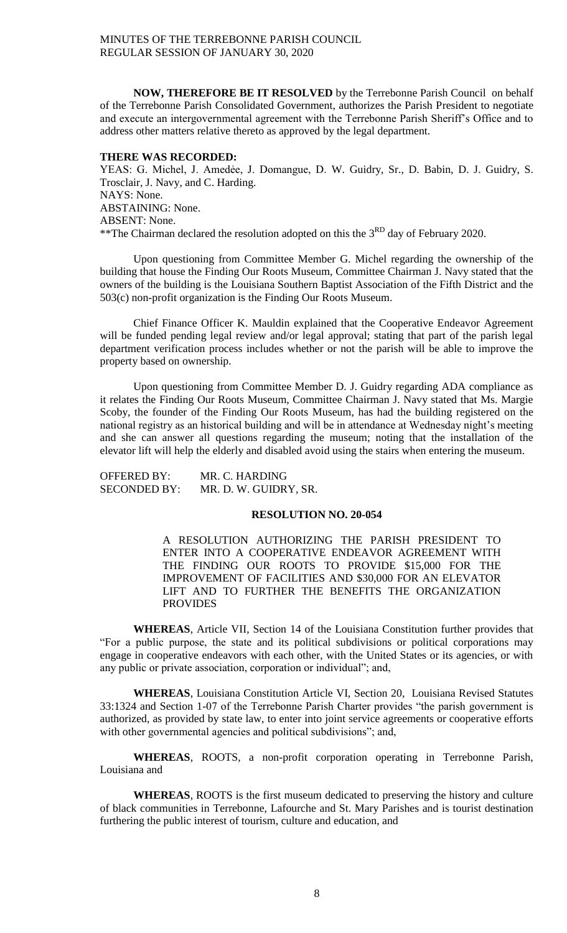**NOW, THEREFORE BE IT RESOLVED** by the Terrebonne Parish Council on behalf of the Terrebonne Parish Consolidated Government, authorizes the Parish President to negotiate and execute an intergovernmental agreement with the Terrebonne Parish Sheriff's Office and to address other matters relative thereto as approved by the legal department.

### **THERE WAS RECORDED:**

YEAS: G. Michel, J. Amedée, J. Domangue, D. W. Guidry, Sr., D. Babin, D. J. Guidry, S. Trosclair, J. Navy, and C. Harding. NAYS: None. ABSTAINING: None. ABSENT: None. \*\*The Chairman declared the resolution adopted on this the 3<sup>RD</sup> day of February 2020.

Upon questioning from Committee Member G. Michel regarding the ownership of the building that house the Finding Our Roots Museum, Committee Chairman J. Navy stated that the owners of the building is the Louisiana Southern Baptist Association of the Fifth District and the 503(c) non-profit organization is the Finding Our Roots Museum.

Chief Finance Officer K. Mauldin explained that the Cooperative Endeavor Agreement will be funded pending legal review and/or legal approval; stating that part of the parish legal department verification process includes whether or not the parish will be able to improve the property based on ownership.

Upon questioning from Committee Member D. J. Guidry regarding ADA compliance as it relates the Finding Our Roots Museum, Committee Chairman J. Navy stated that Ms. Margie Scoby, the founder of the Finding Our Roots Museum, has had the building registered on the national registry as an historical building and will be in attendance at Wednesday night's meeting and she can answer all questions regarding the museum; noting that the installation of the elevator lift will help the elderly and disabled avoid using the stairs when entering the museum.

| <b>OFFERED BY:</b>  | MR. C. HARDING        |
|---------------------|-----------------------|
| <b>SECONDED BY:</b> | MR. D. W. GUIDRY, SR. |

## **RESOLUTION NO. 20-054**

A RESOLUTION AUTHORIZING THE PARISH PRESIDENT TO ENTER INTO A COOPERATIVE ENDEAVOR AGREEMENT WITH THE FINDING OUR ROOTS TO PROVIDE \$15,000 FOR THE IMPROVEMENT OF FACILITIES AND \$30,000 FOR AN ELEVATOR LIFT AND TO FURTHER THE BENEFITS THE ORGANIZATION PROVIDES

**WHEREAS**, Article VII, Section 14 of the Louisiana Constitution further provides that "For a public purpose, the state and its political subdivisions or political corporations may engage in cooperative endeavors with each other, with the United States or its agencies, or with any public or private association, corporation or individual"; and,

**WHEREAS**, Louisiana Constitution Article VI, Section 20, Louisiana Revised Statutes 33:1324 and Section 1-07 of the Terrebonne Parish Charter provides "the parish government is authorized, as provided by state law, to enter into joint service agreements or cooperative efforts with other governmental agencies and political subdivisions"; and,

**WHEREAS**, ROOTS, a non-profit corporation operating in Terrebonne Parish, Louisiana and

**WHEREAS**, ROOTS is the first museum dedicated to preserving the history and culture of black communities in Terrebonne, Lafourche and St. Mary Parishes and is tourist destination furthering the public interest of tourism, culture and education, and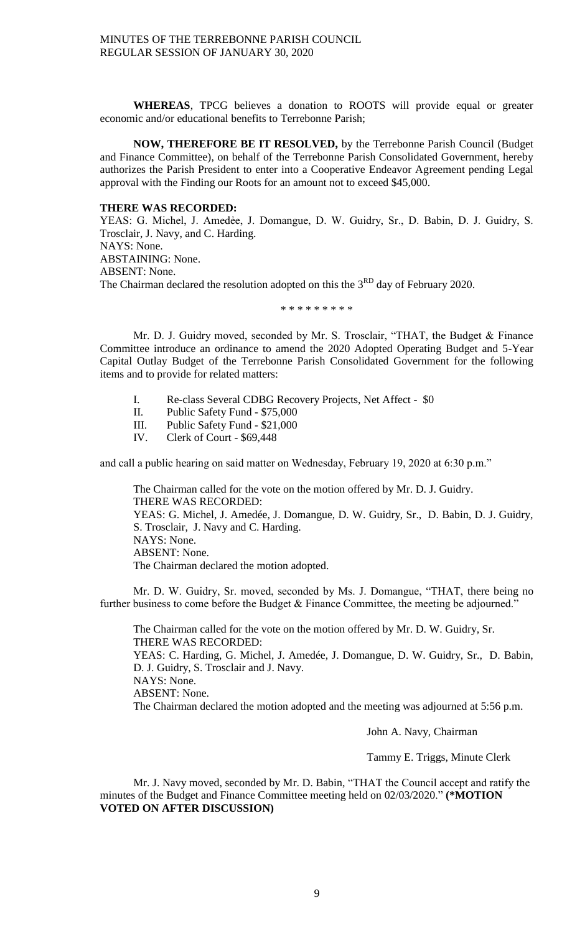**WHEREAS**, TPCG believes a donation to ROOTS will provide equal or greater economic and/or educational benefits to Terrebonne Parish;

**NOW, THEREFORE BE IT RESOLVED,** by the Terrebonne Parish Council (Budget and Finance Committee), on behalf of the Terrebonne Parish Consolidated Government, hereby authorizes the Parish President to enter into a Cooperative Endeavor Agreement pending Legal approval with the Finding our Roots for an amount not to exceed \$45,000.

### **THERE WAS RECORDED:**

YEAS: G. Michel, J. Amedée, J. Domangue, D. W. Guidry, Sr., D. Babin, D. J. Guidry, S. Trosclair, J. Navy, and C. Harding. NAYS: None. ABSTAINING: None. ABSENT: None. The Chairman declared the resolution adopted on this the 3<sup>RD</sup> day of February 2020.

\* \* \* \* \* \* \* \* \*

Mr. D. J. Guidry moved, seconded by Mr. S. Trosclair, "THAT, the Budget & Finance Committee introduce an ordinance to amend the 2020 Adopted Operating Budget and 5-Year Capital Outlay Budget of the Terrebonne Parish Consolidated Government for the following items and to provide for related matters:

- I. Re-class Several CDBG Recovery Projects, Net Affect \$0
- II. Public Safety Fund \$75,000
- III. Public Safety Fund \$21,000
- IV. Clerk of Court \$69,448

and call a public hearing on said matter on Wednesday, February 19, 2020 at 6:30 p.m."

The Chairman called for the vote on the motion offered by Mr. D. J. Guidry. THERE WAS RECORDED: YEAS: G. Michel, J. Amedée, J. Domangue, D. W. Guidry, Sr., D. Babin, D. J. Guidry, S. Trosclair, J. Navy and C. Harding. NAYS: None. ABSENT: None. The Chairman declared the motion adopted.

Mr. D. W. Guidry, Sr. moved, seconded by Ms. J. Domangue, "THAT, there being no further business to come before the Budget & Finance Committee, the meeting be adjourned."

The Chairman called for the vote on the motion offered by Mr. D. W. Guidry, Sr. THERE WAS RECORDED: YEAS: C. Harding, G. Michel, J. Amedée, J. Domangue, D. W. Guidry, Sr., D. Babin, D. J. Guidry, S. Trosclair and J. Navy.

NAYS: None.

ABSENT: None.

The Chairman declared the motion adopted and the meeting was adjourned at 5:56 p.m.

John A. Navy, Chairman

Tammy E. Triggs, Minute Clerk

Mr. J. Navy moved, seconded by Mr. D. Babin, "THAT the Council accept and ratify the minutes of the Budget and Finance Committee meeting held on 02/03/2020." **(\*MOTION VOTED ON AFTER DISCUSSION)**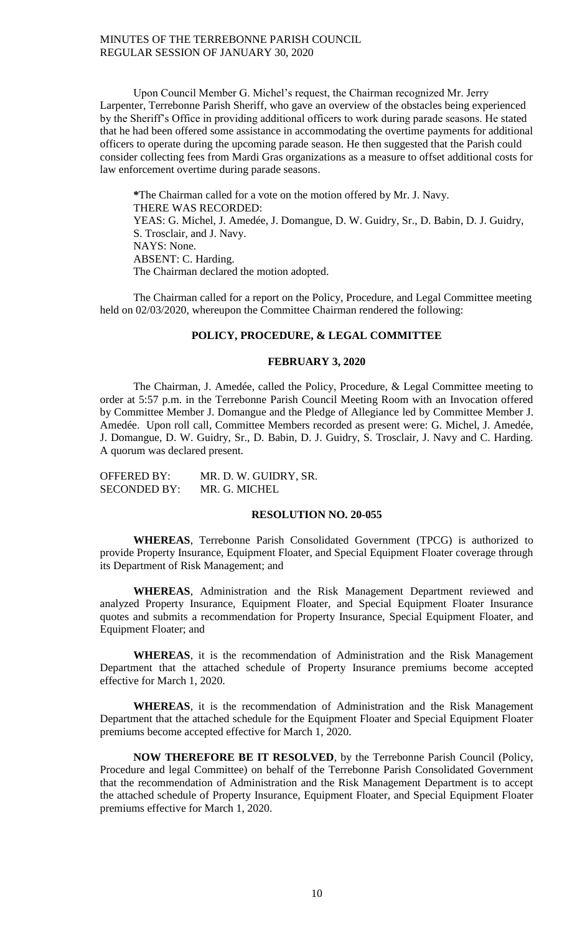Upon Council Member G. Michel's request, the Chairman recognized Mr. Jerry Larpenter, Terrebonne Parish Sheriff, who gave an overview of the obstacles being experienced by the Sheriff's Office in providing additional officers to work during parade seasons. He stated that he had been offered some assistance in accommodating the overtime payments for additional officers to operate during the upcoming parade season. He then suggested that the Parish could consider collecting fees from Mardi Gras organizations as a measure to offset additional costs for law enforcement overtime during parade seasons.

**\***The Chairman called for a vote on the motion offered by Mr. J. Navy. THERE WAS RECORDED: YEAS: G. Michel, J. Amedée, J. Domangue, D. W. Guidry, Sr., D. Babin, D. J. Guidry, S. Trosclair, and J. Navy. NAYS: None. ABSENT: C. Harding. The Chairman declared the motion adopted.

The Chairman called for a report on the Policy, Procedure, and Legal Committee meeting held on 02/03/2020, whereupon the Committee Chairman rendered the following:

### **POLICY, PROCEDURE, & LEGAL COMMITTEE**

### **FEBRUARY 3, 2020**

The Chairman, J. Amedée, called the Policy, Procedure, & Legal Committee meeting to order at 5:57 p.m. in the Terrebonne Parish Council Meeting Room with an Invocation offered by Committee Member J. Domangue and the Pledge of Allegiance led by Committee Member J. Amedée. Upon roll call, Committee Members recorded as present were: G. Michel, J. Amedée, J. Domangue, D. W. Guidry, Sr., D. Babin, D. J. Guidry, S. Trosclair, J. Navy and C. Harding. A quorum was declared present.

| <b>OFFERED BY:</b>  | MR. D. W. GUIDRY, SR. |
|---------------------|-----------------------|
| <b>SECONDED BY:</b> | MR. G. MICHEL         |

## **RESOLUTION NO. 20-055**

**WHEREAS**, Terrebonne Parish Consolidated Government (TPCG) is authorized to provide Property Insurance, Equipment Floater, and Special Equipment Floater coverage through its Department of Risk Management; and

**WHEREAS**, Administration and the Risk Management Department reviewed and analyzed Property Insurance, Equipment Floater, and Special Equipment Floater Insurance quotes and submits a recommendation for Property Insurance, Special Equipment Floater, and Equipment Floater; and

**WHEREAS**, it is the recommendation of Administration and the Risk Management Department that the attached schedule of Property Insurance premiums become accepted effective for March 1, 2020.

**WHEREAS**, it is the recommendation of Administration and the Risk Management Department that the attached schedule for the Equipment Floater and Special Equipment Floater premiums become accepted effective for March 1, 2020.

**NOW THEREFORE BE IT RESOLVED**, by the Terrebonne Parish Council (Policy, Procedure and legal Committee) on behalf of the Terrebonne Parish Consolidated Government that the recommendation of Administration and the Risk Management Department is to accept the attached schedule of Property Insurance, Equipment Floater, and Special Equipment Floater premiums effective for March 1, 2020.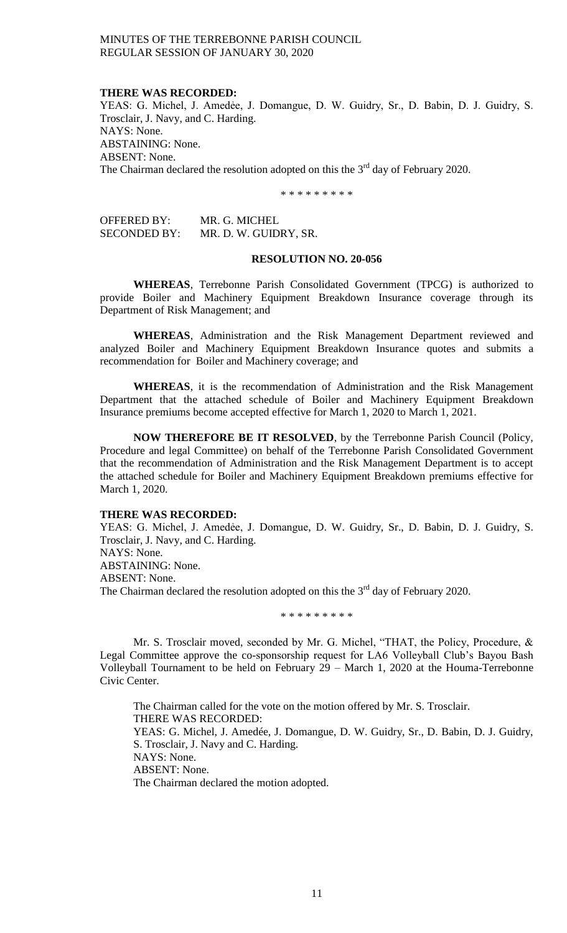#### **THERE WAS RECORDED:**

YEAS: G. Michel, J. Amedėe, J. Domangue, D. W. Guidry, Sr., D. Babin, D. J. Guidry, S. Trosclair, J. Navy, and C. Harding. NAYS: None. ABSTAINING: None. ABSENT: None. The Chairman declared the resolution adopted on this the  $3<sup>rd</sup>$  day of February 2020.

\* \* \* \* \* \* \* \* \*

| OFFERED BY:  | MR. G. MICHEL         |
|--------------|-----------------------|
| SECONDED BY: | MR. D. W. GUIDRY, SR. |

## **RESOLUTION NO. 20-056**

**WHEREAS**, Terrebonne Parish Consolidated Government (TPCG) is authorized to provide Boiler and Machinery Equipment Breakdown Insurance coverage through its Department of Risk Management; and

**WHEREAS**, Administration and the Risk Management Department reviewed and analyzed Boiler and Machinery Equipment Breakdown Insurance quotes and submits a recommendation for Boiler and Machinery coverage; and

**WHEREAS**, it is the recommendation of Administration and the Risk Management Department that the attached schedule of Boiler and Machinery Equipment Breakdown Insurance premiums become accepted effective for March 1, 2020 to March 1, 2021.

**NOW THEREFORE BE IT RESOLVED**, by the Terrebonne Parish Council (Policy, Procedure and legal Committee) on behalf of the Terrebonne Parish Consolidated Government that the recommendation of Administration and the Risk Management Department is to accept the attached schedule for Boiler and Machinery Equipment Breakdown premiums effective for March 1, 2020.

### **THERE WAS RECORDED:**

YEAS: G. Michel, J. Amedée, J. Domangue, D. W. Guidry, Sr., D. Babin, D. J. Guidry, S. Trosclair, J. Navy, and C. Harding.

NAYS: None. ABSTAINING: None. ABSENT: None. The Chairman declared the resolution adopted on this the  $3<sup>rd</sup>$  day of February 2020.

\* \* \* \* \* \* \* \* \*

Mr. S. Trosclair moved, seconded by Mr. G. Michel, "THAT, the Policy, Procedure, & Legal Committee approve the co-sponsorship request for LA6 Volleyball Club's Bayou Bash Volleyball Tournament to be held on February 29 – March 1, 2020 at the Houma-Terrebonne Civic Center.

The Chairman called for the vote on the motion offered by Mr. S. Trosclair. THERE WAS RECORDED: YEAS: G. Michel, J. Amedée, J. Domangue, D. W. Guidry, Sr., D. Babin, D. J. Guidry, S. Trosclair, J. Navy and C. Harding. NAYS: None. ABSENT: None. The Chairman declared the motion adopted.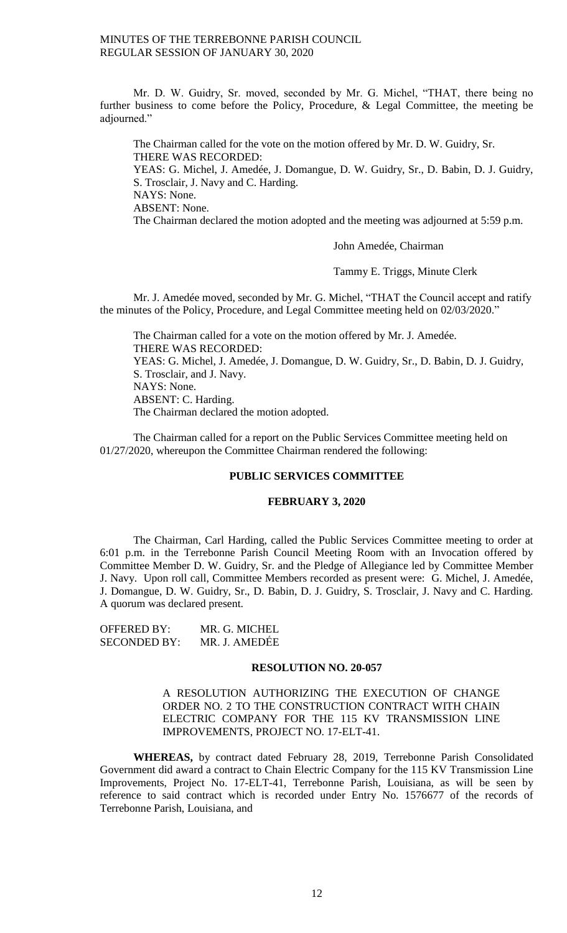Mr. D. W. Guidry, Sr. moved, seconded by Mr. G. Michel, "THAT, there being no further business to come before the Policy, Procedure, & Legal Committee, the meeting be adjourned."

The Chairman called for the vote on the motion offered by Mr. D. W. Guidry, Sr. THERE WAS RECORDED: YEAS: G. Michel, J. Amedée, J. Domangue, D. W. Guidry, Sr., D. Babin, D. J. Guidry, S. Trosclair, J. Navy and C. Harding. NAYS: None. ABSENT: None. The Chairman declared the motion adopted and the meeting was adjourned at 5:59 p.m.

John Amedée, Chairman

Tammy E. Triggs, Minute Clerk

Mr. J. Amedée moved, seconded by Mr. G. Michel, "THAT the Council accept and ratify the minutes of the Policy, Procedure, and Legal Committee meeting held on 02/03/2020."

The Chairman called for a vote on the motion offered by Mr. J. Amedée. THERE WAS RECORDED: YEAS: G. Michel, J. Amedée, J. Domangue, D. W. Guidry, Sr., D. Babin, D. J. Guidry, S. Trosclair, and J. Navy. NAYS: None.

ABSENT: C. Harding.

The Chairman declared the motion adopted.

The Chairman called for a report on the Public Services Committee meeting held on 01/27/2020, whereupon the Committee Chairman rendered the following:

## **PUBLIC SERVICES COMMITTEE**

### **FEBRUARY 3, 2020**

The Chairman, Carl Harding, called the Public Services Committee meeting to order at 6:01 p.m. in the Terrebonne Parish Council Meeting Room with an Invocation offered by Committee Member D. W. Guidry, Sr. and the Pledge of Allegiance led by Committee Member J. Navy. Upon roll call, Committee Members recorded as present were: G. Michel, J. Amedée, J. Domangue, D. W. Guidry, Sr., D. Babin, D. J. Guidry, S. Trosclair, J. Navy and C. Harding. A quorum was declared present.

OFFERED BY: MR. G. MICHEL SECONDED BY: MR. J. AMEDẾE

#### **RESOLUTION NO. 20-057**

## A RESOLUTION AUTHORIZING THE EXECUTION OF CHANGE ORDER NO. 2 TO THE CONSTRUCTION CONTRACT WITH CHAIN ELECTRIC COMPANY FOR THE 115 KV TRANSMISSION LINE IMPROVEMENTS, PROJECT NO. 17-ELT-41.

 **WHEREAS,** by contract dated February 28, 2019, Terrebonne Parish Consolidated Government did award a contract to Chain Electric Company for the 115 KV Transmission Line Improvements, Project No. 17-ELT-41, Terrebonne Parish, Louisiana, as will be seen by reference to said contract which is recorded under Entry No. 1576677 of the records of Terrebonne Parish, Louisiana, and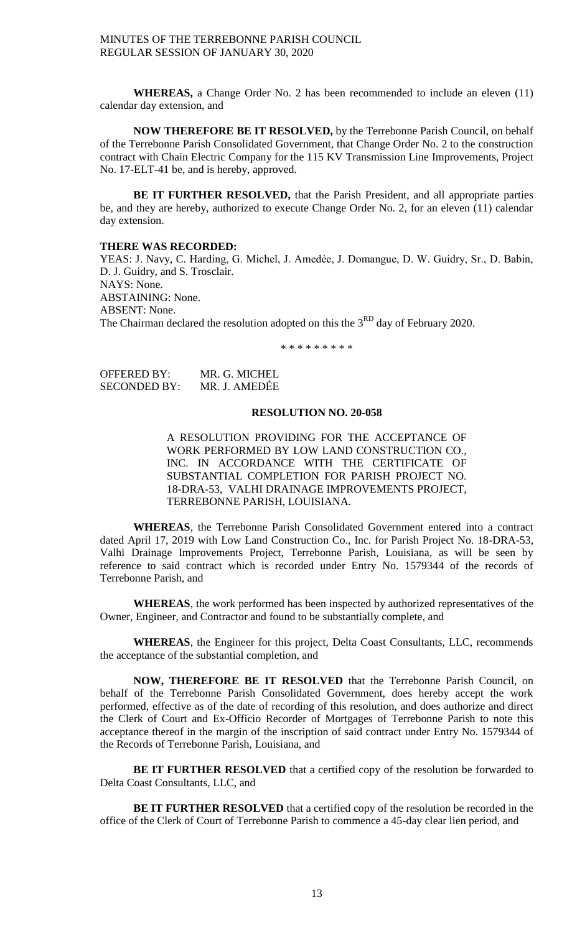**WHEREAS,** a Change Order No. 2 has been recommended to include an eleven (11) calendar day extension, and

 **NOW THEREFORE BE IT RESOLVED,** by the Terrebonne Parish Council, on behalf of the Terrebonne Parish Consolidated Government, that Change Order No. 2 to the construction contract with Chain Electric Company for the 115 KV Transmission Line Improvements, Project No. 17-ELT-41 be, and is hereby, approved.

 **BE IT FURTHER RESOLVED,** that the Parish President, and all appropriate parties be, and they are hereby, authorized to execute Change Order No. 2, for an eleven (11) calendar day extension.

### **THERE WAS RECORDED:**

YEAS: J. Navy, C. Harding, G. Michel, J. Amedée, J. Domangue, D. W. Guidry, Sr., D. Babin, D. J. Guidry, and S. Trosclair. NAYS: None. ABSTAINING: None. ABSENT: None. The Chairman declared the resolution adopted on this the 3<sup>RD</sup> day of February 2020.

\* \* \* \* \* \* \* \* \*

| OFFERED BY:  | MR. G. MICHEL |
|--------------|---------------|
| SECONDED BY: | MR. J. AMEDÉE |

### **RESOLUTION NO. 20-058**

A RESOLUTION PROVIDING FOR THE ACCEPTANCE OF WORK PERFORMED BY LOW LAND CONSTRUCTION CO., INC. IN ACCORDANCE WITH THE CERTIFICATE OF SUBSTANTIAL COMPLETION FOR PARISH PROJECT NO. 18-DRA-53, VALHI DRAINAGE IMPROVEMENTS PROJECT, TERREBONNE PARISH, LOUISIANA.

**WHEREAS**, the Terrebonne Parish Consolidated Government entered into a contract dated April 17, 2019 with Low Land Construction Co., Inc. for Parish Project No. 18-DRA-53, Valhi Drainage Improvements Project, Terrebonne Parish, Louisiana, as will be seen by reference to said contract which is recorded under Entry No. 1579344 of the records of Terrebonne Parish, and

**WHEREAS**, the work performed has been inspected by authorized representatives of the Owner, Engineer, and Contractor and found to be substantially complete, and

**WHEREAS**, the Engineer for this project, Delta Coast Consultants, LLC, recommends the acceptance of the substantial completion, and

**NOW, THEREFORE BE IT RESOLVED** that the Terrebonne Parish Council, on behalf of the Terrebonne Parish Consolidated Government, does hereby accept the work performed, effective as of the date of recording of this resolution, and does authorize and direct the Clerk of Court and Ex-Officio Recorder of Mortgages of Terrebonne Parish to note this acceptance thereof in the margin of the inscription of said contract under Entry No. 1579344 of the Records of Terrebonne Parish, Louisiana, and

**BE IT FURTHER RESOLVED** that a certified copy of the resolution be forwarded to Delta Coast Consultants, LLC, and

**BE IT FURTHER RESOLVED** that a certified copy of the resolution be recorded in the office of the Clerk of Court of Terrebonne Parish to commence a 45-day clear lien period, and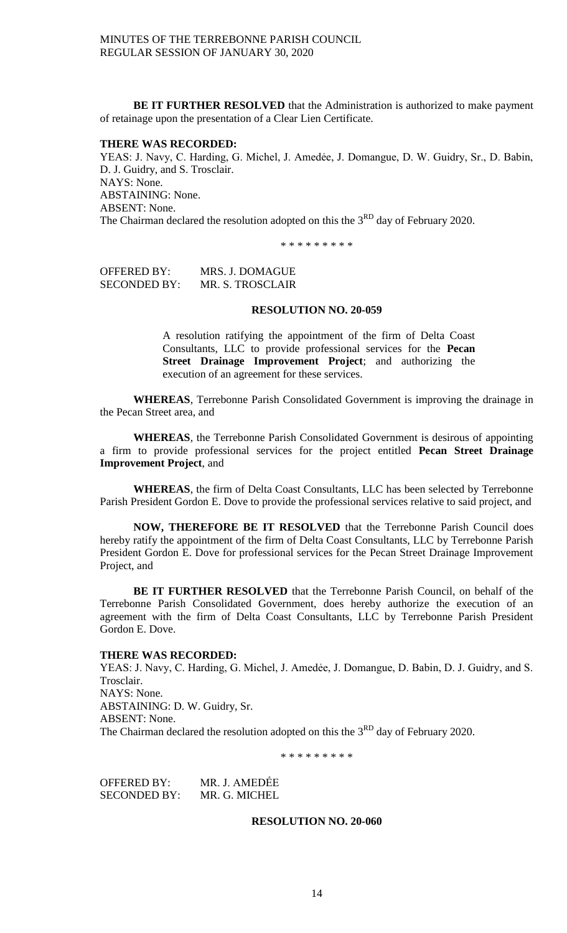**BE IT FURTHER RESOLVED** that the Administration is authorized to make payment of retainage upon the presentation of a Clear Lien Certificate.

### **THERE WAS RECORDED:**

YEAS: J. Navy, C. Harding, G. Michel, J. Amedėe, J. Domangue, D. W. Guidry, Sr., D. Babin, D. J. Guidry, and S. Trosclair. NAYS: None. ABSTAINING: None. ABSENT: None. The Chairman declared the resolution adopted on this the 3<sup>RD</sup> day of February 2020.

\* \* \* \* \* \* \* \* \*

OFFERED BY: MRS. J. DOMAGUE SECONDED BY: MR. S. TROSCLAIR

### **RESOLUTION NO. 20-059**

A resolution ratifying the appointment of the firm of Delta Coast Consultants, LLC to provide professional services for the **Pecan Street Drainage Improvement Project**; and authorizing the execution of an agreement for these services.

**WHEREAS**, Terrebonne Parish Consolidated Government is improving the drainage in the Pecan Street area, and

**WHEREAS**, the Terrebonne Parish Consolidated Government is desirous of appointing a firm to provide professional services for the project entitled **Pecan Street Drainage Improvement Project**, and

**WHEREAS**, the firm of Delta Coast Consultants, LLC has been selected by Terrebonne Parish President Gordon E. Dove to provide the professional services relative to said project, and

**NOW, THEREFORE BE IT RESOLVED** that the Terrebonne Parish Council does hereby ratify the appointment of the firm of Delta Coast Consultants, LLC by Terrebonne Parish President Gordon E. Dove for professional services for the Pecan Street Drainage Improvement Project, and

**BE IT FURTHER RESOLVED** that the Terrebonne Parish Council, on behalf of the Terrebonne Parish Consolidated Government, does hereby authorize the execution of an agreement with the firm of Delta Coast Consultants, LLC by Terrebonne Parish President Gordon E. Dove.

### **THERE WAS RECORDED:**

YEAS: J. Navy, C. Harding, G. Michel, J. Amedėe, J. Domangue, D. Babin, D. J. Guidry, and S. Trosclair. NAYS: None. ABSTAINING: D. W. Guidry, Sr. ABSENT: None. The Chairman declared the resolution adopted on this the 3<sup>RD</sup> day of February 2020.

\* \* \* \* \* \* \* \* \*

OFFERED BY: MR. J. AMEDẾE SECONDED BY: MR. G. MICHEL

## **RESOLUTION NO. 20-060**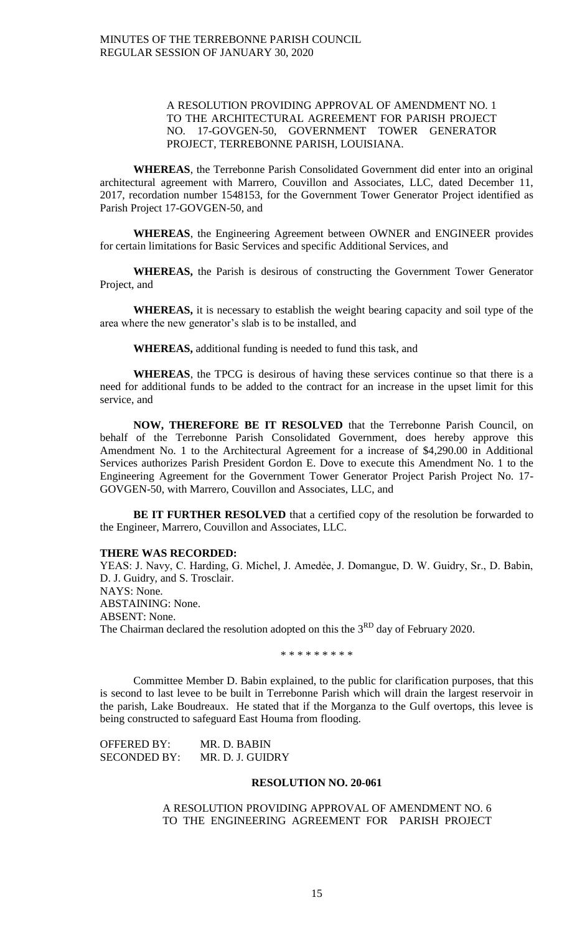## A RESOLUTION PROVIDING APPROVAL OF AMENDMENT NO. 1 TO THE ARCHITECTURAL AGREEMENT FOR PARISH PROJECT NO. 17-GOVGEN-50, GOVERNMENT TOWER GENERATOR PROJECT, TERREBONNE PARISH, LOUISIANA.

**WHEREAS**, the Terrebonne Parish Consolidated Government did enter into an original architectural agreement with Marrero, Couvillon and Associates, LLC, dated December 11, 2017, recordation number 1548153, for the Government Tower Generator Project identified as Parish Project 17-GOVGEN-50, and

**WHEREAS**, the Engineering Agreement between OWNER and ENGINEER provides for certain limitations for Basic Services and specific Additional Services, and

**WHEREAS,** the Parish is desirous of constructing the Government Tower Generator Project, and

**WHEREAS,** it is necessary to establish the weight bearing capacity and soil type of the area where the new generator's slab is to be installed, and

**WHEREAS,** additional funding is needed to fund this task, and

**WHEREAS**, the TPCG is desirous of having these services continue so that there is a need for additional funds to be added to the contract for an increase in the upset limit for this service, and

**NOW, THEREFORE BE IT RESOLVED** that the Terrebonne Parish Council, on behalf of the Terrebonne Parish Consolidated Government, does hereby approve this Amendment No. 1 to the Architectural Agreement for a increase of \$4,290.00 in Additional Services authorizes Parish President Gordon E. Dove to execute this Amendment No. 1 to the Engineering Agreement for the Government Tower Generator Project Parish Project No. 17- GOVGEN-50, with Marrero, Couvillon and Associates, LLC, and

BE IT FURTHER RESOLVED that a certified copy of the resolution be forwarded to the Engineer, Marrero, Couvillon and Associates, LLC.

### **THERE WAS RECORDED:**

YEAS: J. Navy, C. Harding, G. Michel, J. Amedėe, J. Domangue, D. W. Guidry, Sr., D. Babin, D. J. Guidry, and S. Trosclair. NAYS: None. ABSTAINING: None. ABSENT: None. The Chairman declared the resolution adopted on this the  $3<sup>RD</sup>$  day of February 2020.

\* \* \* \* \* \* \* \* \*

Committee Member D. Babin explained, to the public for clarification purposes, that this is second to last levee to be built in Terrebonne Parish which will drain the largest reservoir in the parish, Lake Boudreaux. He stated that if the Morganza to the Gulf overtops, this levee is being constructed to safeguard East Houma from flooding.

OFFERED BY: MR. D. BABIN SECONDED BY: MR. D. J. GUIDRY

### **RESOLUTION NO. 20-061**

A RESOLUTION PROVIDING APPROVAL OF AMENDMENT NO. 6 TO THE ENGINEERING AGREEMENT FOR PARISH PROJECT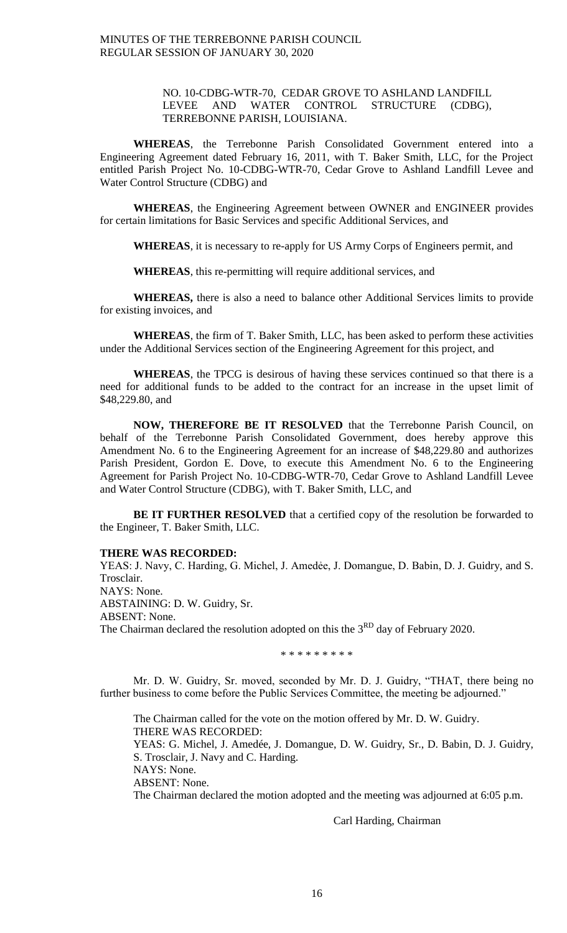## NO. 10-CDBG-WTR-70, CEDAR GROVE TO ASHLAND LANDFILL LEVEE AND WATER CONTROL STRUCTURE (CDBG), TERREBONNE PARISH, LOUISIANA.

**WHEREAS**, the Terrebonne Parish Consolidated Government entered into a Engineering Agreement dated February 16, 2011, with T. Baker Smith, LLC, for the Project entitled Parish Project No. 10-CDBG-WTR-70, Cedar Grove to Ashland Landfill Levee and Water Control Structure (CDBG) and

**WHEREAS**, the Engineering Agreement between OWNER and ENGINEER provides for certain limitations for Basic Services and specific Additional Services, and

**WHEREAS**, it is necessary to re-apply for US Army Corps of Engineers permit, and

**WHEREAS**, this re-permitting will require additional services, and

**WHEREAS,** there is also a need to balance other Additional Services limits to provide for existing invoices, and

**WHEREAS**, the firm of T. Baker Smith, LLC, has been asked to perform these activities under the Additional Services section of the Engineering Agreement for this project, and

**WHEREAS**, the TPCG is desirous of having these services continued so that there is a need for additional funds to be added to the contract for an increase in the upset limit of \$48,229.80, and

**NOW, THEREFORE BE IT RESOLVED** that the Terrebonne Parish Council, on behalf of the Terrebonne Parish Consolidated Government, does hereby approve this Amendment No. 6 to the Engineering Agreement for an increase of \$48,229.80 and authorizes Parish President, Gordon E. Dove, to execute this Amendment No. 6 to the Engineering Agreement for Parish Project No. 10-CDBG-WTR-70, Cedar Grove to Ashland Landfill Levee and Water Control Structure (CDBG), with T. Baker Smith, LLC, and

**BE IT FURTHER RESOLVED** that a certified copy of the resolution be forwarded to the Engineer, T. Baker Smith, LLC.

#### **THERE WAS RECORDED:**

YEAS: J. Navy, C. Harding, G. Michel, J. Amedėe, J. Domangue, D. Babin, D. J. Guidry, and S. Trosclair. NAYS: None. ABSTAINING: D. W. Guidry, Sr. ABSENT: None. The Chairman declared the resolution adopted on this the  $3<sup>RD</sup>$  day of February 2020.

\* \* \* \* \* \* \* \* \*

Mr. D. W. Guidry, Sr. moved, seconded by Mr. D. J. Guidry, "THAT, there being no further business to come before the Public Services Committee, the meeting be adjourned."

The Chairman called for the vote on the motion offered by Mr. D. W. Guidry. THERE WAS RECORDED: YEAS: G. Michel, J. Amedée, J. Domangue, D. W. Guidry, Sr., D. Babin, D. J. Guidry, S. Trosclair, J. Navy and C. Harding.

NAYS: None.

ABSENT: None.

The Chairman declared the motion adopted and the meeting was adjourned at 6:05 p.m.

Carl Harding, Chairman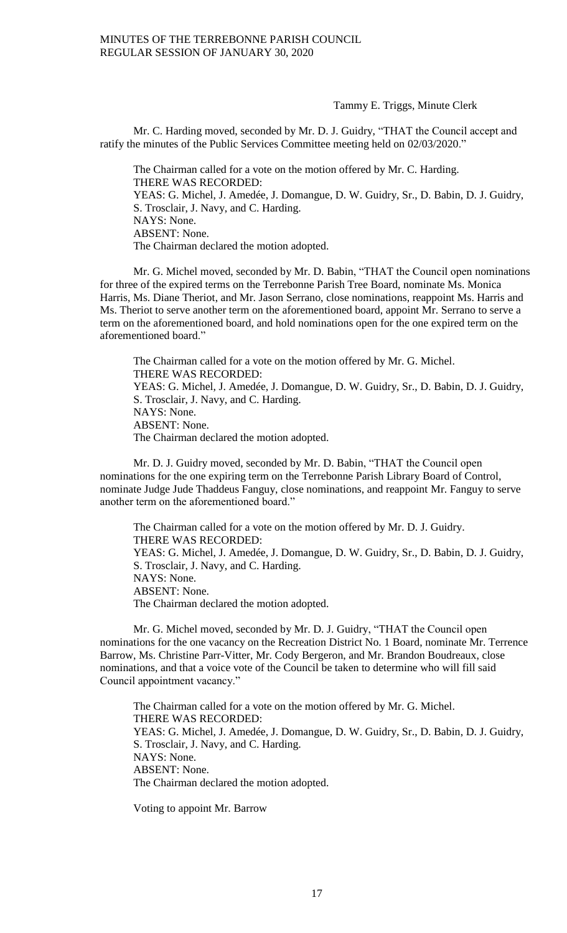Tammy E. Triggs, Minute Clerk

Mr. C. Harding moved, seconded by Mr. D. J. Guidry, "THAT the Council accept and ratify the minutes of the Public Services Committee meeting held on 02/03/2020."

The Chairman called for a vote on the motion offered by Mr. C. Harding. THERE WAS RECORDED: YEAS: G. Michel, J. Amedée, J. Domangue, D. W. Guidry, Sr., D. Babin, D. J. Guidry, S. Trosclair, J. Navy, and C. Harding. NAYS: None. ABSENT: None. The Chairman declared the motion adopted.

Mr. G. Michel moved, seconded by Mr. D. Babin, "THAT the Council open nominations for three of the expired terms on the Terrebonne Parish Tree Board, nominate Ms. Monica Harris, Ms. Diane Theriot, and Mr. Jason Serrano, close nominations, reappoint Ms. Harris and Ms. Theriot to serve another term on the aforementioned board, appoint Mr. Serrano to serve a term on the aforementioned board, and hold nominations open for the one expired term on the aforementioned board."

The Chairman called for a vote on the motion offered by Mr. G. Michel. THERE WAS RECORDED: YEAS: G. Michel, J. Amedée, J. Domangue, D. W. Guidry, Sr., D. Babin, D. J. Guidry, S. Trosclair, J. Navy, and C. Harding. NAYS: None. ABSENT: None. The Chairman declared the motion adopted.

Mr. D. J. Guidry moved, seconded by Mr. D. Babin, "THAT the Council open nominations for the one expiring term on the Terrebonne Parish Library Board of Control, nominate Judge Jude Thaddeus Fanguy, close nominations, and reappoint Mr. Fanguy to serve another term on the aforementioned board."

The Chairman called for a vote on the motion offered by Mr. D. J. Guidry. THERE WAS RECORDED: YEAS: G. Michel, J. Amedée, J. Domangue, D. W. Guidry, Sr., D. Babin, D. J. Guidry, S. Trosclair, J. Navy, and C. Harding. NAYS: None. ABSENT: None. The Chairman declared the motion adopted.

Mr. G. Michel moved, seconded by Mr. D. J. Guidry, "THAT the Council open nominations for the one vacancy on the Recreation District No. 1 Board, nominate Mr. Terrence Barrow, Ms. Christine Parr-Vitter, Mr. Cody Bergeron, and Mr. Brandon Boudreaux, close nominations, and that a voice vote of the Council be taken to determine who will fill said Council appointment vacancy."

The Chairman called for a vote on the motion offered by Mr. G. Michel. THERE WAS RECORDED: YEAS: G. Michel, J. Amedée, J. Domangue, D. W. Guidry, Sr., D. Babin, D. J. Guidry, S. Trosclair, J. Navy, and C. Harding. NAYS: None. ABSENT: None. The Chairman declared the motion adopted.

Voting to appoint Mr. Barrow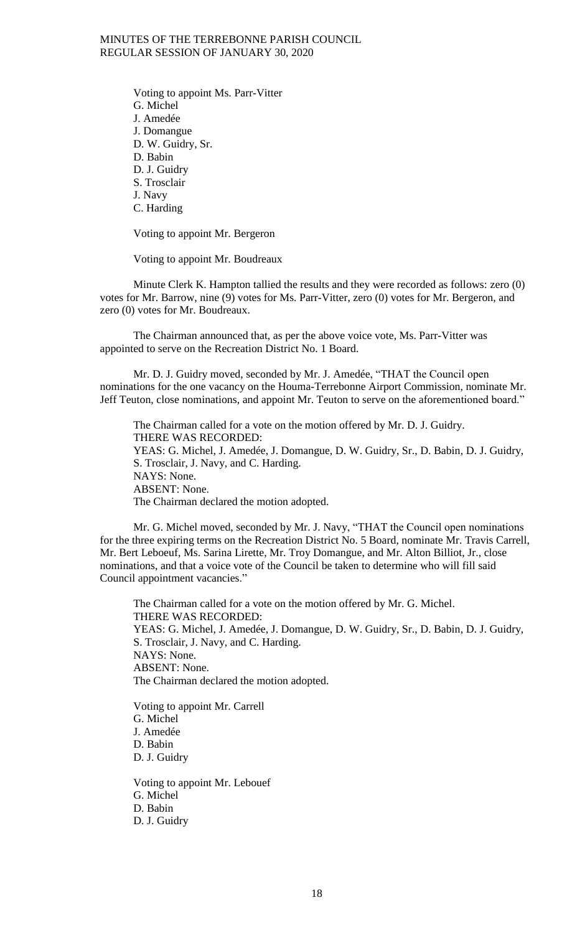Voting to appoint Ms. Parr-Vitter G. Michel J. Amedée J. Domangue D. W. Guidry, Sr. D. Babin D. J. Guidry S. Trosclair J. Navy C. Harding

Voting to appoint Mr. Bergeron

Voting to appoint Mr. Boudreaux

Minute Clerk K. Hampton tallied the results and they were recorded as follows: zero (0) votes for Mr. Barrow, nine (9) votes for Ms. Parr-Vitter, zero (0) votes for Mr. Bergeron, and zero (0) votes for Mr. Boudreaux.

The Chairman announced that, as per the above voice vote, Ms. Parr-Vitter was appointed to serve on the Recreation District No. 1 Board.

Mr. D. J. Guidry moved, seconded by Mr. J. Amedée, "THAT the Council open nominations for the one vacancy on the Houma-Terrebonne Airport Commission, nominate Mr. Jeff Teuton, close nominations, and appoint Mr. Teuton to serve on the aforementioned board."

The Chairman called for a vote on the motion offered by Mr. D. J. Guidry. THERE WAS RECORDED: YEAS: G. Michel, J. Amedée, J. Domangue, D. W. Guidry, Sr., D. Babin, D. J. Guidry, S. Trosclair, J. Navy, and C. Harding. NAYS: None. ABSENT: None. The Chairman declared the motion adopted.

Mr. G. Michel moved, seconded by Mr. J. Navy, "THAT the Council open nominations for the three expiring terms on the Recreation District No. 5 Board, nominate Mr. Travis Carrell, Mr. Bert Leboeuf, Ms. Sarina Lirette, Mr. Troy Domangue, and Mr. Alton Billiot, Jr., close nominations, and that a voice vote of the Council be taken to determine who will fill said Council appointment vacancies."

The Chairman called for a vote on the motion offered by Mr. G. Michel. THERE WAS RECORDED: YEAS: G. Michel, J. Amedée, J. Domangue, D. W. Guidry, Sr., D. Babin, D. J. Guidry, S. Trosclair, J. Navy, and C. Harding. NAYS: None. ABSENT: None. The Chairman declared the motion adopted.

Voting to appoint Mr. Carrell G. Michel J. Amedée D. Babin D. J. Guidry

Voting to appoint Mr. Lebouef G. Michel D. Babin D. J. Guidry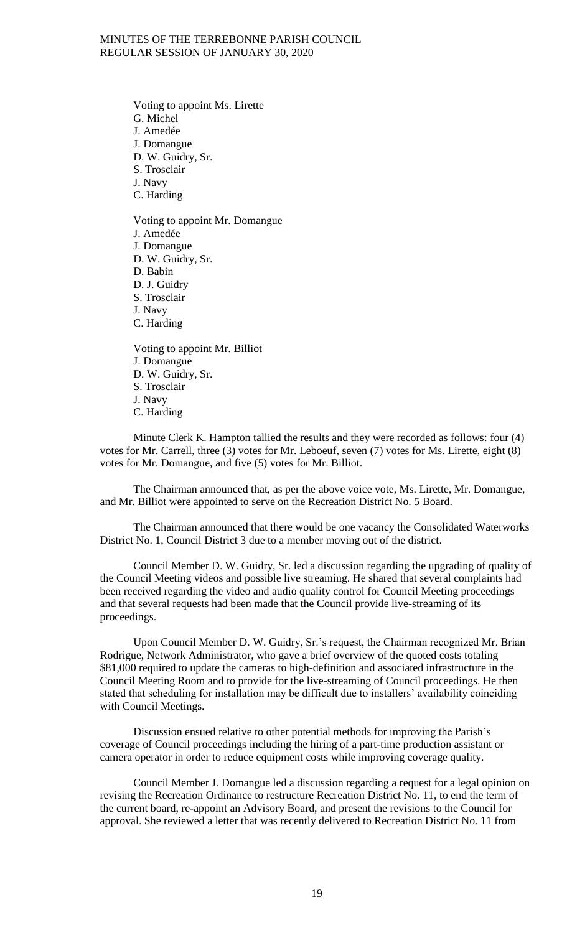Voting to appoint Ms. Lirette G. Michel J. Amedée J. Domangue D. W. Guidry, Sr. S. Trosclair J. Navy C. Harding Voting to appoint Mr. Domangue J. Amedée J. Domangue D. W. Guidry, Sr. D. Babin D. J. Guidry

S. Trosclair

J. Navy

C. Harding

Voting to appoint Mr. Billiot J. Domangue D. W. Guidry, Sr. S. Trosclair J. Navy C. Harding

Minute Clerk K. Hampton tallied the results and they were recorded as follows: four (4) votes for Mr. Carrell, three (3) votes for Mr. Leboeuf, seven (7) votes for Ms. Lirette, eight (8) votes for Mr. Domangue, and five (5) votes for Mr. Billiot.

The Chairman announced that, as per the above voice vote, Ms. Lirette, Mr. Domangue, and Mr. Billiot were appointed to serve on the Recreation District No. 5 Board.

The Chairman announced that there would be one vacancy the Consolidated Waterworks District No. 1, Council District 3 due to a member moving out of the district.

Council Member D. W. Guidry, Sr. led a discussion regarding the upgrading of quality of the Council Meeting videos and possible live streaming. He shared that several complaints had been received regarding the video and audio quality control for Council Meeting proceedings and that several requests had been made that the Council provide live-streaming of its proceedings.

Upon Council Member D. W. Guidry, Sr.'s request, the Chairman recognized Mr. Brian Rodrigue, Network Administrator, who gave a brief overview of the quoted costs totaling \$81,000 required to update the cameras to high-definition and associated infrastructure in the Council Meeting Room and to provide for the live-streaming of Council proceedings. He then stated that scheduling for installation may be difficult due to installers' availability coinciding with Council Meetings.

Discussion ensued relative to other potential methods for improving the Parish's coverage of Council proceedings including the hiring of a part-time production assistant or camera operator in order to reduce equipment costs while improving coverage quality.

Council Member J. Domangue led a discussion regarding a request for a legal opinion on revising the Recreation Ordinance to restructure Recreation District No. 11, to end the term of the current board, re-appoint an Advisory Board, and present the revisions to the Council for approval. She reviewed a letter that was recently delivered to Recreation District No. 11 from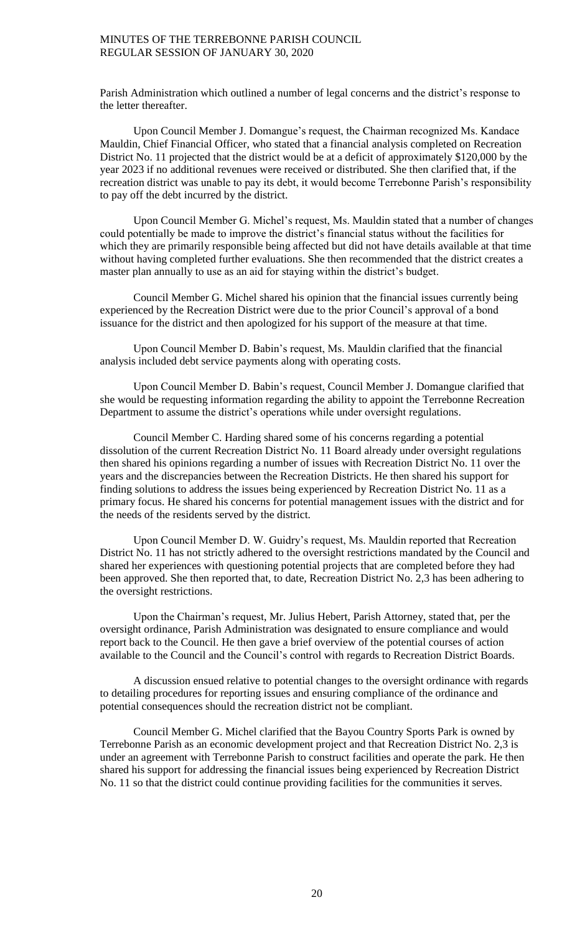Parish Administration which outlined a number of legal concerns and the district's response to the letter thereafter.

Upon Council Member J. Domangue's request, the Chairman recognized Ms. Kandace Mauldin, Chief Financial Officer, who stated that a financial analysis completed on Recreation District No. 11 projected that the district would be at a deficit of approximately \$120,000 by the year 2023 if no additional revenues were received or distributed. She then clarified that, if the recreation district was unable to pay its debt, it would become Terrebonne Parish's responsibility to pay off the debt incurred by the district.

Upon Council Member G. Michel's request, Ms. Mauldin stated that a number of changes could potentially be made to improve the district's financial status without the facilities for which they are primarily responsible being affected but did not have details available at that time without having completed further evaluations. She then recommended that the district creates a master plan annually to use as an aid for staying within the district's budget.

Council Member G. Michel shared his opinion that the financial issues currently being experienced by the Recreation District were due to the prior Council's approval of a bond issuance for the district and then apologized for his support of the measure at that time.

Upon Council Member D. Babin's request, Ms. Mauldin clarified that the financial analysis included debt service payments along with operating costs.

Upon Council Member D. Babin's request, Council Member J. Domangue clarified that she would be requesting information regarding the ability to appoint the Terrebonne Recreation Department to assume the district's operations while under oversight regulations.

Council Member C. Harding shared some of his concerns regarding a potential dissolution of the current Recreation District No. 11 Board already under oversight regulations then shared his opinions regarding a number of issues with Recreation District No. 11 over the years and the discrepancies between the Recreation Districts. He then shared his support for finding solutions to address the issues being experienced by Recreation District No. 11 as a primary focus. He shared his concerns for potential management issues with the district and for the needs of the residents served by the district.

Upon Council Member D. W. Guidry's request, Ms. Mauldin reported that Recreation District No. 11 has not strictly adhered to the oversight restrictions mandated by the Council and shared her experiences with questioning potential projects that are completed before they had been approved. She then reported that, to date, Recreation District No. 2,3 has been adhering to the oversight restrictions.

Upon the Chairman's request, Mr. Julius Hebert, Parish Attorney, stated that, per the oversight ordinance, Parish Administration was designated to ensure compliance and would report back to the Council. He then gave a brief overview of the potential courses of action available to the Council and the Council's control with regards to Recreation District Boards.

A discussion ensued relative to potential changes to the oversight ordinance with regards to detailing procedures for reporting issues and ensuring compliance of the ordinance and potential consequences should the recreation district not be compliant.

Council Member G. Michel clarified that the Bayou Country Sports Park is owned by Terrebonne Parish as an economic development project and that Recreation District No. 2,3 is under an agreement with Terrebonne Parish to construct facilities and operate the park. He then shared his support for addressing the financial issues being experienced by Recreation District No. 11 so that the district could continue providing facilities for the communities it serves.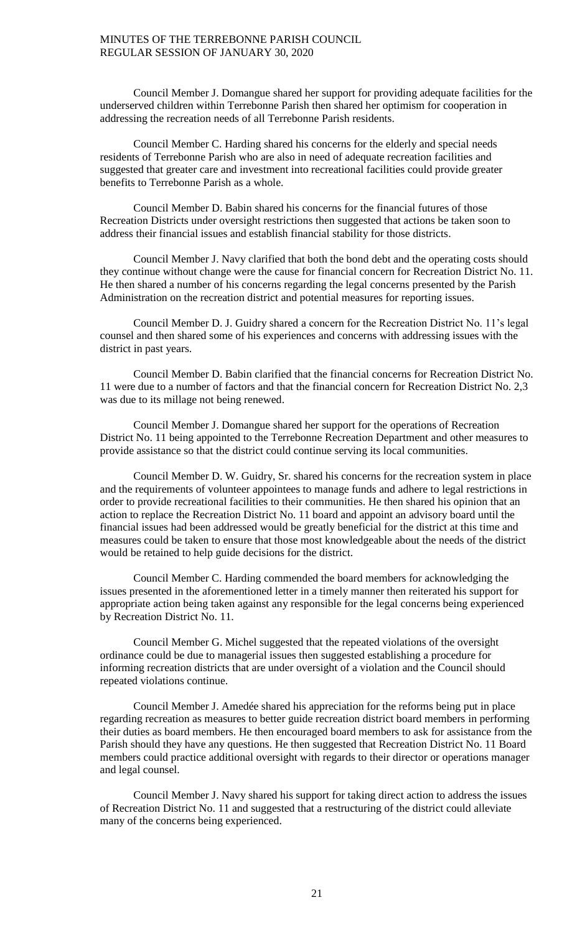Council Member J. Domangue shared her support for providing adequate facilities for the underserved children within Terrebonne Parish then shared her optimism for cooperation in addressing the recreation needs of all Terrebonne Parish residents.

Council Member C. Harding shared his concerns for the elderly and special needs residents of Terrebonne Parish who are also in need of adequate recreation facilities and suggested that greater care and investment into recreational facilities could provide greater benefits to Terrebonne Parish as a whole.

Council Member D. Babin shared his concerns for the financial futures of those Recreation Districts under oversight restrictions then suggested that actions be taken soon to address their financial issues and establish financial stability for those districts.

Council Member J. Navy clarified that both the bond debt and the operating costs should they continue without change were the cause for financial concern for Recreation District No. 11. He then shared a number of his concerns regarding the legal concerns presented by the Parish Administration on the recreation district and potential measures for reporting issues.

Council Member D. J. Guidry shared a concern for the Recreation District No. 11's legal counsel and then shared some of his experiences and concerns with addressing issues with the district in past years.

Council Member D. Babin clarified that the financial concerns for Recreation District No. 11 were due to a number of factors and that the financial concern for Recreation District No. 2,3 was due to its millage not being renewed.

Council Member J. Domangue shared her support for the operations of Recreation District No. 11 being appointed to the Terrebonne Recreation Department and other measures to provide assistance so that the district could continue serving its local communities.

Council Member D. W. Guidry, Sr. shared his concerns for the recreation system in place and the requirements of volunteer appointees to manage funds and adhere to legal restrictions in order to provide recreational facilities to their communities. He then shared his opinion that an action to replace the Recreation District No. 11 board and appoint an advisory board until the financial issues had been addressed would be greatly beneficial for the district at this time and measures could be taken to ensure that those most knowledgeable about the needs of the district would be retained to help guide decisions for the district.

Council Member C. Harding commended the board members for acknowledging the issues presented in the aforementioned letter in a timely manner then reiterated his support for appropriate action being taken against any responsible for the legal concerns being experienced by Recreation District No. 11.

Council Member G. Michel suggested that the repeated violations of the oversight ordinance could be due to managerial issues then suggested establishing a procedure for informing recreation districts that are under oversight of a violation and the Council should repeated violations continue.

Council Member J. Amedée shared his appreciation for the reforms being put in place regarding recreation as measures to better guide recreation district board members in performing their duties as board members. He then encouraged board members to ask for assistance from the Parish should they have any questions. He then suggested that Recreation District No. 11 Board members could practice additional oversight with regards to their director or operations manager and legal counsel.

Council Member J. Navy shared his support for taking direct action to address the issues of Recreation District No. 11 and suggested that a restructuring of the district could alleviate many of the concerns being experienced.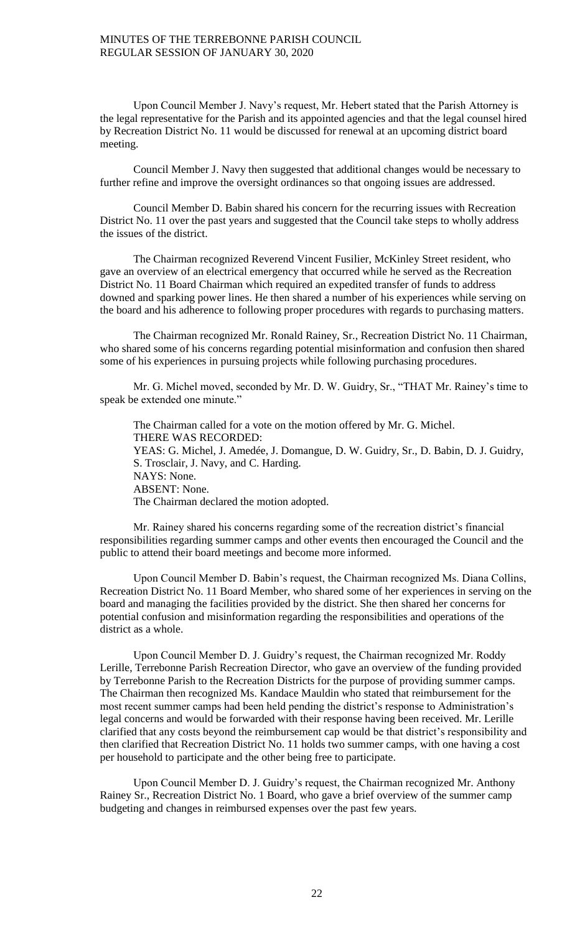Upon Council Member J. Navy's request, Mr. Hebert stated that the Parish Attorney is the legal representative for the Parish and its appointed agencies and that the legal counsel hired by Recreation District No. 11 would be discussed for renewal at an upcoming district board meeting.

Council Member J. Navy then suggested that additional changes would be necessary to further refine and improve the oversight ordinances so that ongoing issues are addressed.

Council Member D. Babin shared his concern for the recurring issues with Recreation District No. 11 over the past years and suggested that the Council take steps to wholly address the issues of the district.

The Chairman recognized Reverend Vincent Fusilier, McKinley Street resident, who gave an overview of an electrical emergency that occurred while he served as the Recreation District No. 11 Board Chairman which required an expedited transfer of funds to address downed and sparking power lines. He then shared a number of his experiences while serving on the board and his adherence to following proper procedures with regards to purchasing matters.

The Chairman recognized Mr. Ronald Rainey, Sr., Recreation District No. 11 Chairman, who shared some of his concerns regarding potential misinformation and confusion then shared some of his experiences in pursuing projects while following purchasing procedures.

Mr. G. Michel moved, seconded by Mr. D. W. Guidry, Sr., "THAT Mr. Rainey's time to speak be extended one minute."

The Chairman called for a vote on the motion offered by Mr. G. Michel. THERE WAS RECORDED: YEAS: G. Michel, J. Amedée, J. Domangue, D. W. Guidry, Sr., D. Babin, D. J. Guidry, S. Trosclair, J. Navy, and C. Harding. NAYS: None. ABSENT: None. The Chairman declared the motion adopted.

Mr. Rainey shared his concerns regarding some of the recreation district's financial responsibilities regarding summer camps and other events then encouraged the Council and the public to attend their board meetings and become more informed.

Upon Council Member D. Babin's request, the Chairman recognized Ms. Diana Collins, Recreation District No. 11 Board Member, who shared some of her experiences in serving on the board and managing the facilities provided by the district. She then shared her concerns for potential confusion and misinformation regarding the responsibilities and operations of the district as a whole.

Upon Council Member D. J. Guidry's request, the Chairman recognized Mr. Roddy Lerille, Terrebonne Parish Recreation Director, who gave an overview of the funding provided by Terrebonne Parish to the Recreation Districts for the purpose of providing summer camps. The Chairman then recognized Ms. Kandace Mauldin who stated that reimbursement for the most recent summer camps had been held pending the district's response to Administration's legal concerns and would be forwarded with their response having been received. Mr. Lerille clarified that any costs beyond the reimbursement cap would be that district's responsibility and then clarified that Recreation District No. 11 holds two summer camps, with one having a cost per household to participate and the other being free to participate.

Upon Council Member D. J. Guidry's request, the Chairman recognized Mr. Anthony Rainey Sr., Recreation District No. 1 Board, who gave a brief overview of the summer camp budgeting and changes in reimbursed expenses over the past few years.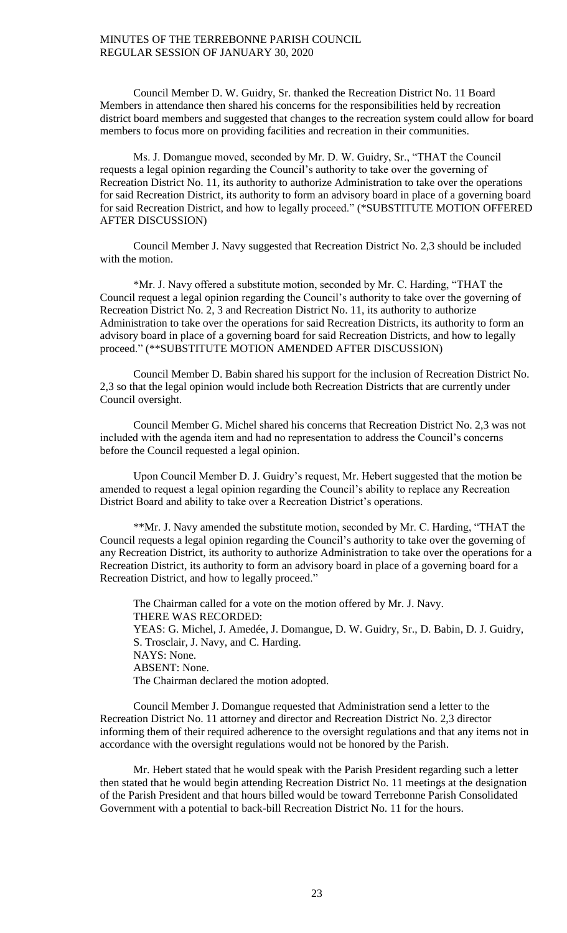Council Member D. W. Guidry, Sr. thanked the Recreation District No. 11 Board Members in attendance then shared his concerns for the responsibilities held by recreation district board members and suggested that changes to the recreation system could allow for board members to focus more on providing facilities and recreation in their communities.

Ms. J. Domangue moved, seconded by Mr. D. W. Guidry, Sr., "THAT the Council requests a legal opinion regarding the Council's authority to take over the governing of Recreation District No. 11, its authority to authorize Administration to take over the operations for said Recreation District, its authority to form an advisory board in place of a governing board for said Recreation District, and how to legally proceed." (\*SUBSTITUTE MOTION OFFERED AFTER DISCUSSION)

Council Member J. Navy suggested that Recreation District No. 2,3 should be included with the motion.

\*Mr. J. Navy offered a substitute motion, seconded by Mr. C. Harding, "THAT the Council request a legal opinion regarding the Council's authority to take over the governing of Recreation District No. 2, 3 and Recreation District No. 11, its authority to authorize Administration to take over the operations for said Recreation Districts, its authority to form an advisory board in place of a governing board for said Recreation Districts, and how to legally proceed." (\*\*SUBSTITUTE MOTION AMENDED AFTER DISCUSSION)

Council Member D. Babin shared his support for the inclusion of Recreation District No. 2,3 so that the legal opinion would include both Recreation Districts that are currently under Council oversight.

Council Member G. Michel shared his concerns that Recreation District No. 2,3 was not included with the agenda item and had no representation to address the Council's concerns before the Council requested a legal opinion.

Upon Council Member D. J. Guidry's request, Mr. Hebert suggested that the motion be amended to request a legal opinion regarding the Council's ability to replace any Recreation District Board and ability to take over a Recreation District's operations.

\*\*Mr. J. Navy amended the substitute motion, seconded by Mr. C. Harding, "THAT the Council requests a legal opinion regarding the Council's authority to take over the governing of any Recreation District, its authority to authorize Administration to take over the operations for a Recreation District, its authority to form an advisory board in place of a governing board for a Recreation District, and how to legally proceed."

The Chairman called for a vote on the motion offered by Mr. J. Navy. THERE WAS RECORDED: YEAS: G. Michel, J. Amedée, J. Domangue, D. W. Guidry, Sr., D. Babin, D. J. Guidry, S. Trosclair, J. Navy, and C. Harding. NAYS: None. ABSENT: None. The Chairman declared the motion adopted.

Council Member J. Domangue requested that Administration send a letter to the Recreation District No. 11 attorney and director and Recreation District No. 2,3 director informing them of their required adherence to the oversight regulations and that any items not in accordance with the oversight regulations would not be honored by the Parish.

Mr. Hebert stated that he would speak with the Parish President regarding such a letter then stated that he would begin attending Recreation District No. 11 meetings at the designation of the Parish President and that hours billed would be toward Terrebonne Parish Consolidated Government with a potential to back-bill Recreation District No. 11 for the hours.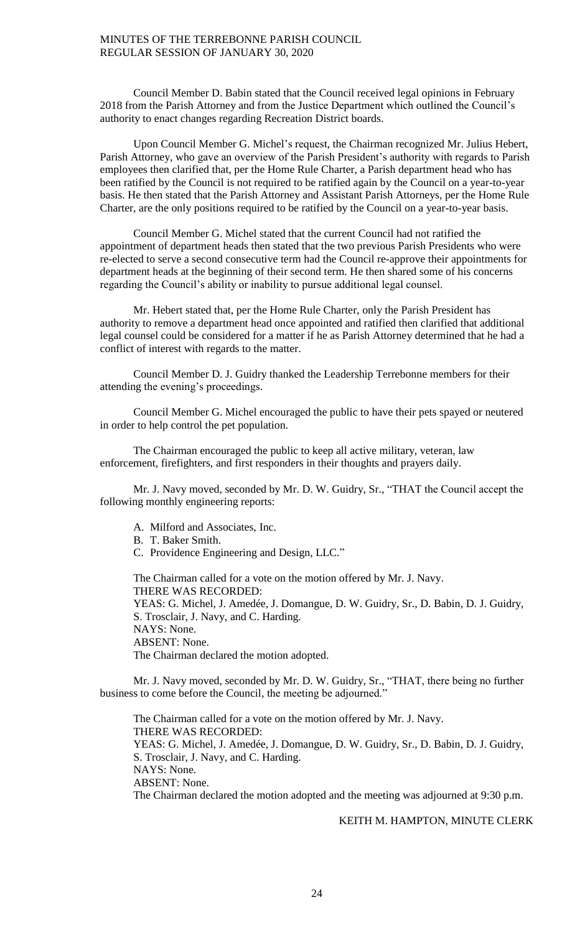Council Member D. Babin stated that the Council received legal opinions in February 2018 from the Parish Attorney and from the Justice Department which outlined the Council's authority to enact changes regarding Recreation District boards.

Upon Council Member G. Michel's request, the Chairman recognized Mr. Julius Hebert, Parish Attorney, who gave an overview of the Parish President's authority with regards to Parish employees then clarified that, per the Home Rule Charter, a Parish department head who has been ratified by the Council is not required to be ratified again by the Council on a year-to-year basis. He then stated that the Parish Attorney and Assistant Parish Attorneys, per the Home Rule Charter, are the only positions required to be ratified by the Council on a year-to-year basis.

Council Member G. Michel stated that the current Council had not ratified the appointment of department heads then stated that the two previous Parish Presidents who were re-elected to serve a second consecutive term had the Council re-approve their appointments for department heads at the beginning of their second term. He then shared some of his concerns regarding the Council's ability or inability to pursue additional legal counsel.

Mr. Hebert stated that, per the Home Rule Charter, only the Parish President has authority to remove a department head once appointed and ratified then clarified that additional legal counsel could be considered for a matter if he as Parish Attorney determined that he had a conflict of interest with regards to the matter.

Council Member D. J. Guidry thanked the Leadership Terrebonne members for their attending the evening's proceedings.

Council Member G. Michel encouraged the public to have their pets spayed or neutered in order to help control the pet population.

The Chairman encouraged the public to keep all active military, veteran, law enforcement, firefighters, and first responders in their thoughts and prayers daily.

Mr. J. Navy moved, seconded by Mr. D. W. Guidry, Sr., "THAT the Council accept the following monthly engineering reports:

- A. Milford and Associates, Inc.
- B. T. Baker Smith.
- C. Providence Engineering and Design, LLC."

The Chairman called for a vote on the motion offered by Mr. J. Navy. THERE WAS RECORDED: YEAS: G. Michel, J. Amedée, J. Domangue, D. W. Guidry, Sr., D. Babin, D. J. Guidry, S. Trosclair, J. Navy, and C. Harding.

NAYS: None. ABSENT: None. The Chairman declared the motion adopted.

Mr. J. Navy moved, seconded by Mr. D. W. Guidry, Sr., "THAT, there being no further business to come before the Council, the meeting be adjourned."

The Chairman called for a vote on the motion offered by Mr. J. Navy. THERE WAS RECORDED: YEAS: G. Michel, J. Amedée, J. Domangue, D. W. Guidry, Sr., D. Babin, D. J. Guidry, S. Trosclair, J. Navy, and C. Harding. NAYS: None. ABSENT: None. The Chairman declared the motion adopted and the meeting was adjourned at 9:30 p.m.

## KEITH M. HAMPTON, MINUTE CLERK